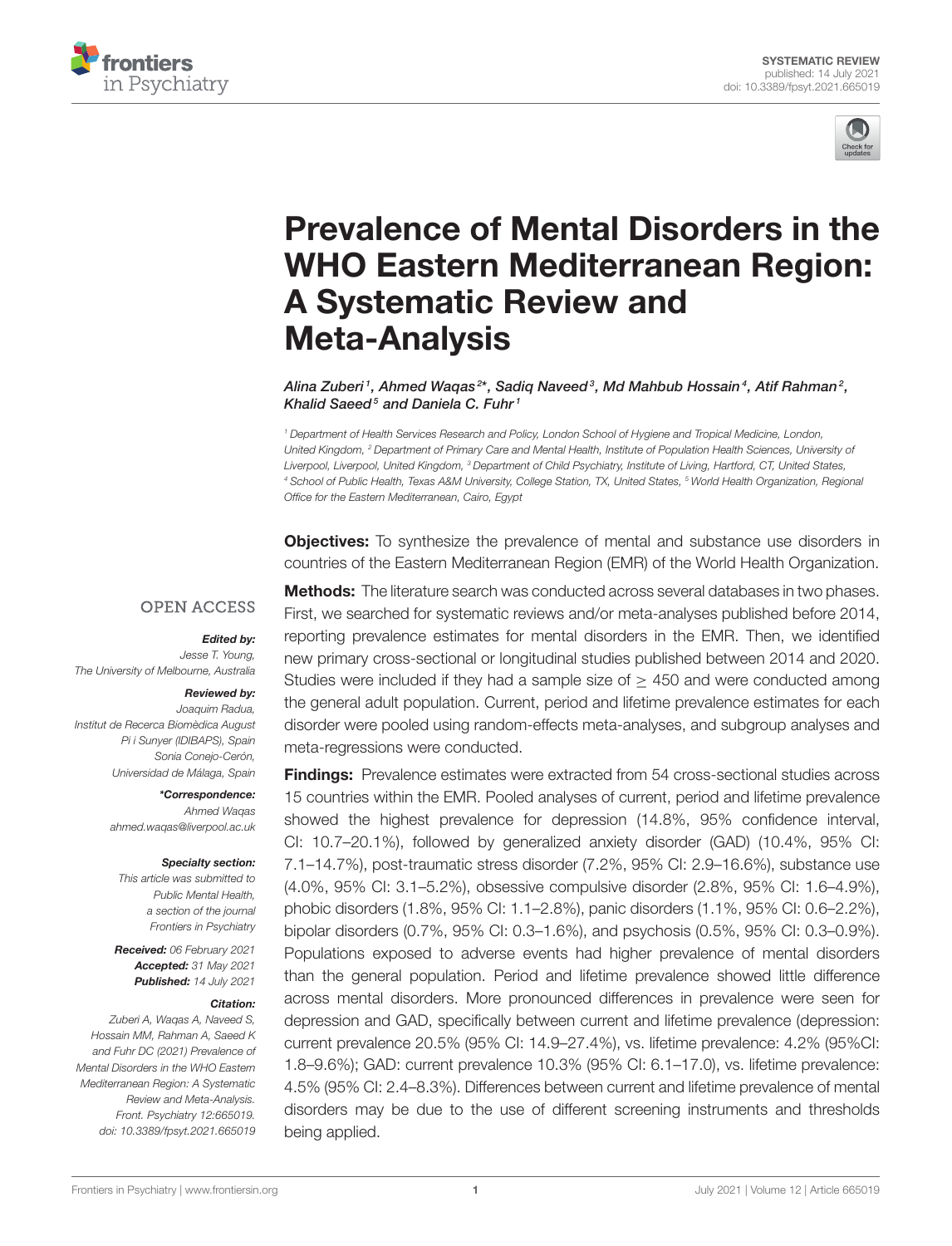



# Prevalence of Mental Disorders in the [WHO Eastern Mediterranean Region:](https://www.frontiersin.org/articles/10.3389/fpsyt.2021.665019/full) A Systematic Review and Meta-Analysis

Alina Zuberi  $^1$ , Ahmed Waqas $^{2\star}$ , Sadiq Naveed  $^3$ , Md Mahbub Hossain  $^4$ , Atif Rahman  $^2$ , Khalid Saeed<sup>5</sup> and Daniela C. Fuhr<sup>1</sup>

<sup>1</sup> Department of Health Services Research and Policy, London School of Hygiene and Tropical Medicine, London, United Kingdom, <sup>2</sup> Department of Primary Care and Mental Health, Institute of Population Health Sciences, University of Liverpool, Liverpool, United Kingdom, <sup>3</sup> Department of Child Psychiatry, Institute of Living, Hartford, CT, United States, 4 School of Public Health, Texas A&M University, College Station, TX, United States, <sup>5</sup> World Health Organization, Regional Office for the Eastern Mediterranean, Cairo, Egypt

**Objectives:** To synthesize the prevalence of mental and substance use disorders in countries of the Eastern Mediterranean Region (EMR) of the World Health Organization.

#### **OPEN ACCESS**

#### Edited by:

Jesse T. Young, The University of Melbourne, Australia

#### Reviewed by:

Joaquim Radua, Institut de Recerca Biomèdica August Pi i Sunyer (IDIBAPS), Spain Sonia Conejo-Cerón, Universidad de Málaga, Spain

> \*Correspondence: Ahmed Waqas [ahmed.waqas@liverpool.ac.uk](mailto:ahmed.waqas@liverpool.ac.uk)

#### Specialty section:

This article was submitted to Public Mental Health, a section of the journal Frontiers in Psychiatry

Received: 06 February 2021 Accepted: 31 May 2021 Published: 14 July 2021

#### Citation:

Zuberi A, Waqas A, Naveed S, Hossain MM, Rahman A, Saeed K and Fuhr DC (2021) Prevalence of Mental Disorders in the WHO Eastern Mediterranean Region: A Systematic Review and Meta-Analysis. Front. Psychiatry 12:665019. doi: [10.3389/fpsyt.2021.665019](https://doi.org/10.3389/fpsyt.2021.665019)

**Methods:** The literature search was conducted across several databases in two phases. First, we searched for systematic reviews and/or meta-analyses published before 2014, reporting prevalence estimates for mental disorders in the EMR. Then, we identified new primary cross-sectional or longitudinal studies published between 2014 and 2020. Studies were included if they had a sample size of  $>$  450 and were conducted among the general adult population. Current, period and lifetime prevalence estimates for each disorder were pooled using random-effects meta-analyses, and subgroup analyses and meta-regressions were conducted.

Findings: Prevalence estimates were extracted from 54 cross-sectional studies across 15 countries within the EMR. Pooled analyses of current, period and lifetime prevalence showed the highest prevalence for depression (14.8%, 95% confidence interval, CI: 10.7–20.1%), followed by generalized anxiety disorder (GAD) (10.4%, 95% CI: 7.1–14.7%), post-traumatic stress disorder (7.2%, 95% CI: 2.9–16.6%), substance use (4.0%, 95% CI: 3.1–5.2%), obsessive compulsive disorder (2.8%, 95% CI: 1.6–4.9%), phobic disorders (1.8%, 95% CI: 1.1–2.8%), panic disorders (1.1%, 95% CI: 0.6–2.2%), bipolar disorders (0.7%, 95% CI: 0.3–1.6%), and psychosis (0.5%, 95% CI: 0.3–0.9%). Populations exposed to adverse events had higher prevalence of mental disorders than the general population. Period and lifetime prevalence showed little difference across mental disorders. More pronounced differences in prevalence were seen for depression and GAD, specifically between current and lifetime prevalence (depression: current prevalence 20.5% (95% CI: 14.9–27.4%), vs. lifetime prevalence: 4.2% (95%CI: 1.8–9.6%); GAD: current prevalence 10.3% (95% CI: 6.1–17.0), vs. lifetime prevalence: 4.5% (95% CI: 2.4–8.3%). Differences between current and lifetime prevalence of mental disorders may be due to the use of different screening instruments and thresholds being applied.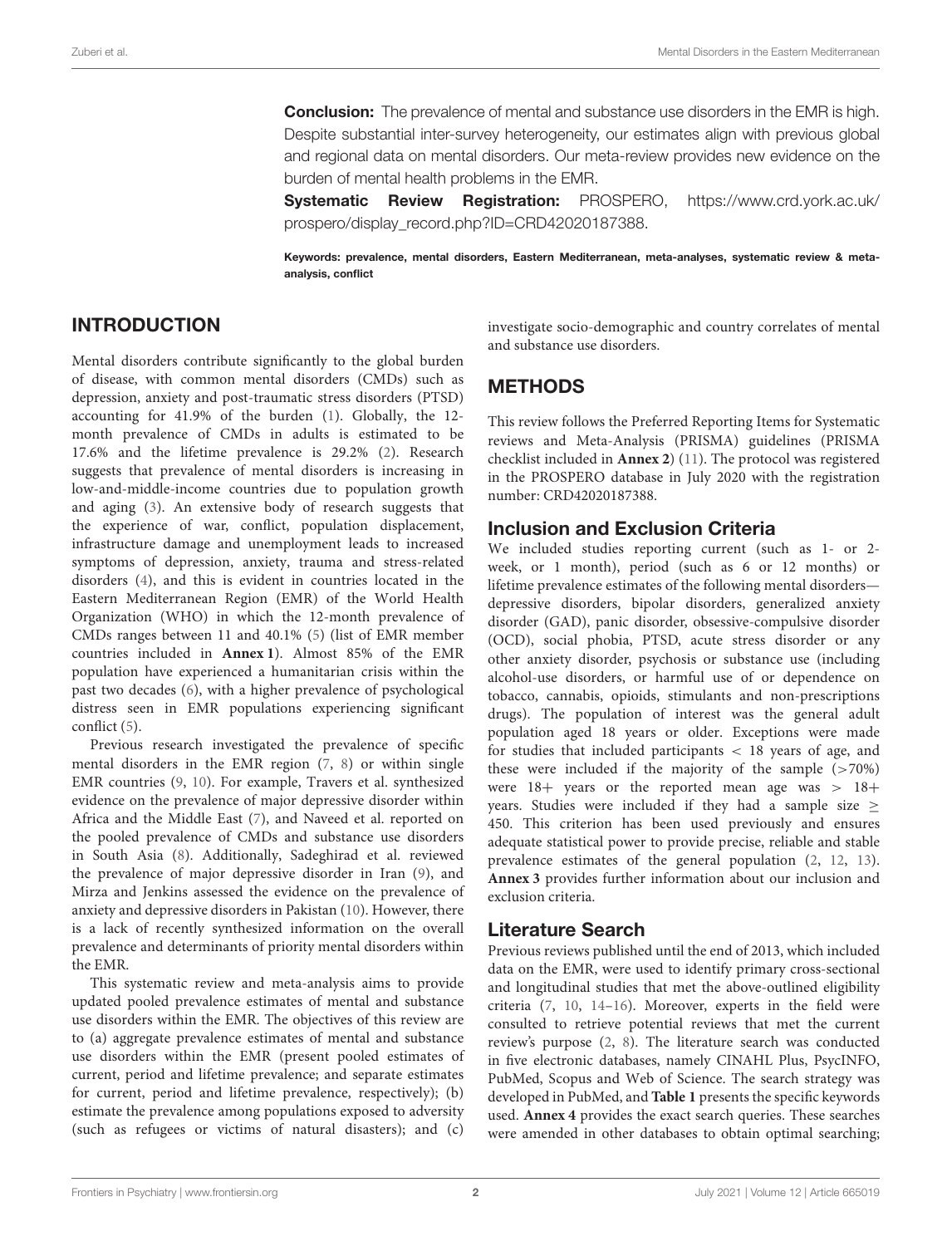**Conclusion:** The prevalence of mental and substance use disorders in the EMR is high. Despite substantial inter-survey heterogeneity, our estimates align with previous global and regional data on mental disorders. Our meta-review provides new evidence on the burden of mental health problems in the EMR.

Systematic Review Registration: PROSPERO, [https://www.crd.york.ac.uk/](https://www.crd.york.ac.uk/prospero/display_record.php?ID=CRD42020187388) [prospero/display\\_record.php?ID=CRD42020187388.](https://www.crd.york.ac.uk/prospero/display_record.php?ID=CRD42020187388)

Keywords: prevalence, mental disorders, Eastern Mediterranean, meta-analyses, systematic review & metaanalysis, conflict

# INTRODUCTION

Mental disorders contribute significantly to the global burden of disease, with common mental disorders (CMDs) such as depression, anxiety and post-traumatic stress disorders (PTSD) accounting for 41.9% of the burden [\(1\)](#page-8-0). Globally, the 12 month prevalence of CMDs in adults is estimated to be 17.6% and the lifetime prevalence is 29.2% [\(2\)](#page-8-1). Research suggests that prevalence of mental disorders is increasing in low-and-middle-income countries due to population growth and aging [\(3\)](#page-8-2). An extensive body of research suggests that the experience of war, conflict, population displacement, infrastructure damage and unemployment leads to increased symptoms of depression, anxiety, trauma and stress-related disorders [\(4\)](#page-8-3), and this is evident in countries located in the Eastern Mediterranean Region (EMR) of the World Health Organization (WHO) in which the 12-month prevalence of CMDs ranges between 11 and 40.1% [\(5\)](#page-8-4) (list of EMR member countries included in **[Annex 1](#page-8-5)**). Almost 85% of the EMR population have experienced a humanitarian crisis within the past two decades [\(6\)](#page-8-6), with a higher prevalence of psychological distress seen in EMR populations experiencing significant conflict [\(5\)](#page-8-4).

Previous research investigated the prevalence of specific mental disorders in the EMR region [\(7,](#page-8-7) [8\)](#page-9-0) or within single EMR countries [\(9,](#page-9-1) [10\)](#page-9-2). For example, Travers et al. synthesized evidence on the prevalence of major depressive disorder within Africa and the Middle East [\(7\)](#page-8-7), and Naveed et al. reported on the pooled prevalence of CMDs and substance use disorders in South Asia [\(8\)](#page-9-0). Additionally, Sadeghirad et al. reviewed the prevalence of major depressive disorder in Iran [\(9\)](#page-9-1), and Mirza and Jenkins assessed the evidence on the prevalence of anxiety and depressive disorders in Pakistan [\(10\)](#page-9-2). However, there is a lack of recently synthesized information on the overall prevalence and determinants of priority mental disorders within the EMR.

This systematic review and meta-analysis aims to provide updated pooled prevalence estimates of mental and substance use disorders within the EMR. The objectives of this review are to (a) aggregate prevalence estimates of mental and substance use disorders within the EMR (present pooled estimates of current, period and lifetime prevalence; and separate estimates for current, period and lifetime prevalence, respectively); (b) estimate the prevalence among populations exposed to adversity (such as refugees or victims of natural disasters); and (c) investigate socio-demographic and country correlates of mental and substance use disorders.

# **METHODS**

This review follows the Preferred Reporting Items for Systematic reviews and Meta-Analysis (PRISMA) guidelines (PRISMA checklist included in **[Annex 2](#page-8-5)**) [\(11\)](#page-9-3). The protocol was registered in the PROSPERO database in July 2020 with the registration number: CRD42020187388.

#### Inclusion and Exclusion Criteria

We included studies reporting current (such as 1- or 2 week, or 1 month), period (such as 6 or 12 months) or lifetime prevalence estimates of the following mental disorders depressive disorders, bipolar disorders, generalized anxiety disorder (GAD), panic disorder, obsessive-compulsive disorder (OCD), social phobia, PTSD, acute stress disorder or any other anxiety disorder, psychosis or substance use (including alcohol-use disorders, or harmful use of or dependence on tobacco, cannabis, opioids, stimulants and non-prescriptions drugs). The population of interest was the general adult population aged 18 years or older. Exceptions were made for studies that included participants < 18 years of age, and these were included if the majority of the sample  $($ >70%) were  $18+$  years or the reported mean age was  $> 18+$ years. Studies were included if they had a sample size  $\geq$ 450. This criterion has been used previously and ensures adequate statistical power to provide precise, reliable and stable prevalence estimates of the general population [\(2,](#page-8-1) [12,](#page-9-4) [13\)](#page-9-5). **[Annex 3](#page-8-5)** provides further information about our inclusion and exclusion criteria.

#### Literature Search

Previous reviews published until the end of 2013, which included data on the EMR, were used to identify primary cross-sectional and longitudinal studies that met the above-outlined eligibility criteria [\(7,](#page-8-7) [10,](#page-9-2) [14–](#page-9-6)[16\)](#page-9-7). Moreover, experts in the field were consulted to retrieve potential reviews that met the current review's purpose [\(2,](#page-8-1) [8\)](#page-9-0). The literature search was conducted in five electronic databases, namely CINAHL Plus, PsycINFO, PubMed, Scopus and Web of Science. The search strategy was developed in PubMed, and **[Table 1](#page-2-0)** presents the specific keywords used. **[Annex 4](#page-8-5)** provides the exact search queries. These searches were amended in other databases to obtain optimal searching;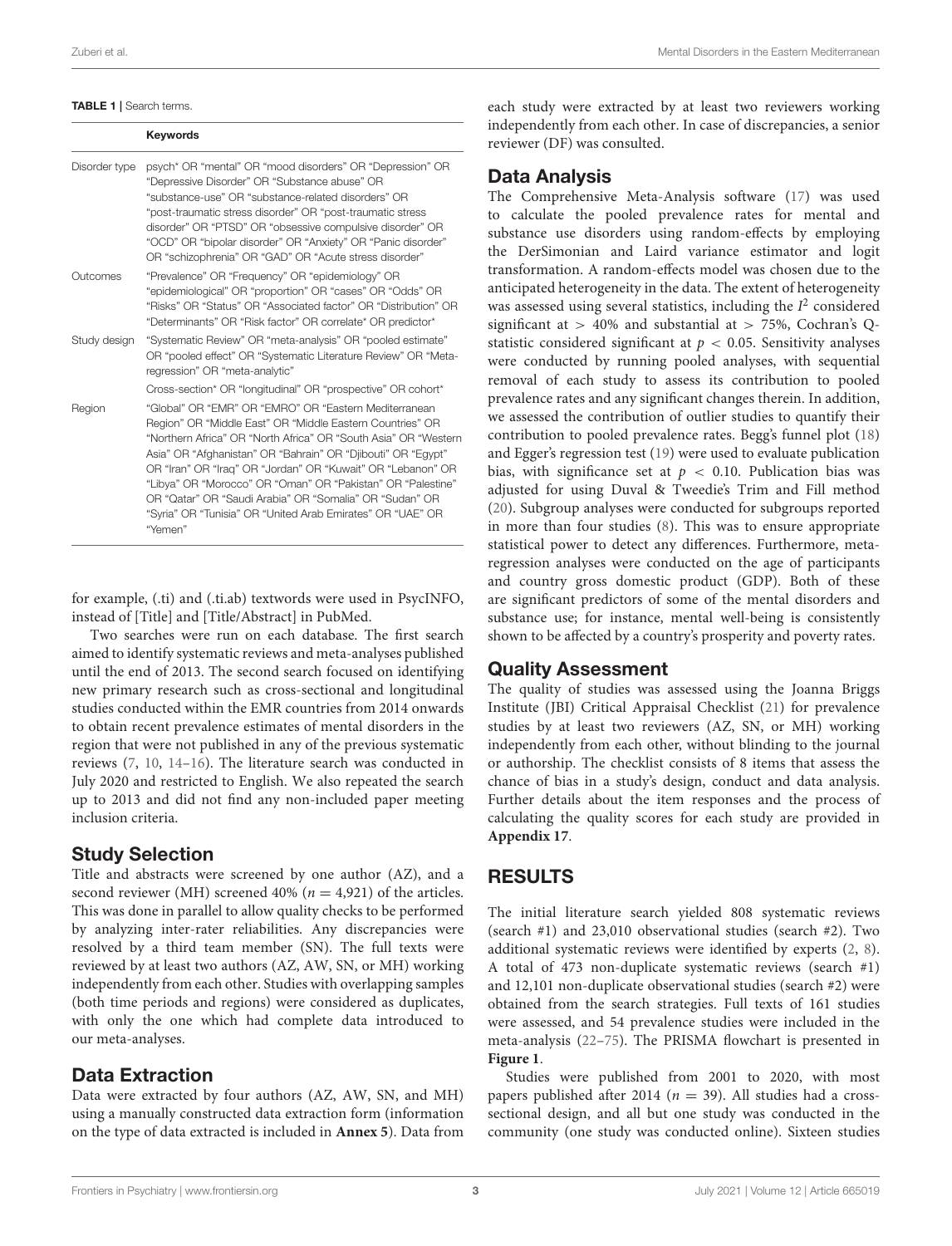#### <span id="page-2-0"></span>TABLE 1 | Search terms.

Keywords

| Disorder type | psych* OR "mental" OR "mood disorders" OR "Depression" OR<br>"Depressive Disorder" OR "Substance abuse" OR<br>"substance-use" OR "substance-related disorders" OR<br>"post-traumatic stress disorder" OR "post-traumatic stress<br>disorder" OR "PTSD" OR "obsessive compulsive disorder" OR<br>"OCD" OR "bipolar disorder" OR "Anxiety" OR "Panic disorder"<br>OR "schizophrenia" OR "GAD" OR "Acute stress disorder"                                                                                                  |  |  |  |  |  |
|---------------|-------------------------------------------------------------------------------------------------------------------------------------------------------------------------------------------------------------------------------------------------------------------------------------------------------------------------------------------------------------------------------------------------------------------------------------------------------------------------------------------------------------------------|--|--|--|--|--|
| Outcomes      | "Prevalence" OR "Frequency" OR "epidemiology" OR<br>"epidemiological" OR "proportion" OR "cases" OR "Odds" OR<br>"Risks" OR "Status" OR "Associated factor" OR "Distribution" OR<br>"Determinants" OR "Risk factor" OR correlate* OR predictor*                                                                                                                                                                                                                                                                         |  |  |  |  |  |
| Study design  | "Systematic Review" OR "meta-analysis" OR "pooled estimate"<br>OR "pooled effect" OR "Systematic Literature Review" OR "Meta-<br>regression" OR "meta-analytic"                                                                                                                                                                                                                                                                                                                                                         |  |  |  |  |  |
|               | Cross-section* OR "longitudinal" OR "prospective" OR cohort*                                                                                                                                                                                                                                                                                                                                                                                                                                                            |  |  |  |  |  |
| Region        | "Global" OR "EMR" OR "EMRO" OR "Eastern Mediterranean<br>Region" OR "Middle East" OR "Middle Eastern Countries" OR<br>"Northern Africa" OR "North Africa" OR "South Asia" OR "Western<br>Asia" OR "Afghanistan" OR "Bahrain" OR "Djibouti" OR "Egypt"<br>OR "Iran" OR "Iraq" OR "Jordan" OR "Kuwait" OR "Lebanon" OR<br>"Libya" OR "Morocco" OR "Oman" OR "Pakistan" OR "Palestine"<br>OR "Qatar" OR "Saudi Arabia" OR "Somalia" OR "Sudan" OR<br>"Syria" OR "Tunisia" OR "United Arab Emirates" OR "UAE" OR<br>"Yemen" |  |  |  |  |  |

for example, (.ti) and (.ti.ab) textwords were used in PsycINFO, instead of [Title] and [Title/Abstract] in PubMed.

Two searches were run on each database. The first search aimed to identify systematic reviews and meta-analyses published until the end of 2013. The second search focused on identifying new primary research such as cross-sectional and longitudinal studies conducted within the EMR countries from 2014 onwards to obtain recent prevalence estimates of mental disorders in the region that were not published in any of the previous systematic reviews [\(7,](#page-8-7) [10,](#page-9-2) [14](#page-9-6)[–16\)](#page-9-7). The literature search was conducted in July 2020 and restricted to English. We also repeated the search up to 2013 and did not find any non-included paper meeting inclusion criteria.

#### Study Selection

Title and abstracts were screened by one author (AZ), and a second reviewer (MH) screened 40% ( $n = 4.921$ ) of the articles. This was done in parallel to allow quality checks to be performed by analyzing inter-rater reliabilities. Any discrepancies were resolved by a third team member (SN). The full texts were reviewed by at least two authors (AZ, AW, SN, or MH) working independently from each other. Studies with overlapping samples (both time periods and regions) were considered as duplicates, with only the one which had complete data introduced to our meta-analyses.

# Data Extraction

Data were extracted by four authors (AZ, AW, SN, and MH) using a manually constructed data extraction form (information on the type of data extracted is included in **[Annex 5](#page-8-5)**). Data from each study were extracted by at least two reviewers working independently from each other. In case of discrepancies, a senior reviewer (DF) was consulted.

#### Data Analysis

The Comprehensive Meta-Analysis software [\(17\)](#page-9-8) was used to calculate the pooled prevalence rates for mental and substance use disorders using random-effects by employing the DerSimonian and Laird variance estimator and logit transformation. A random-effects model was chosen due to the anticipated heterogeneity in the data. The extent of heterogeneity was assessed using several statistics, including the  $I^2$  considered significant at  $> 40\%$  and substantial at  $> 75\%$ , Cochran's Qstatistic considered significant at  $p < 0.05$ . Sensitivity analyses were conducted by running pooled analyses, with sequential removal of each study to assess its contribution to pooled prevalence rates and any significant changes therein. In addition, we assessed the contribution of outlier studies to quantify their contribution to pooled prevalence rates. Begg's funnel plot [\(18\)](#page-9-9) and Egger's regression test [\(19\)](#page-9-10) were used to evaluate publication bias, with significance set at  $p < 0.10$ . Publication bias was adjusted for using Duval & Tweedie's Trim and Fill method [\(20\)](#page-9-11). Subgroup analyses were conducted for subgroups reported in more than four studies [\(8\)](#page-9-0). This was to ensure appropriate statistical power to detect any differences. Furthermore, metaregression analyses were conducted on the age of participants and country gross domestic product (GDP). Both of these are significant predictors of some of the mental disorders and substance use; for instance, mental well-being is consistently shown to be affected by a country's prosperity and poverty rates.

# Quality Assessment

The quality of studies was assessed using the Joanna Briggs Institute (JBI) Critical Appraisal Checklist [\(21\)](#page-9-12) for prevalence studies by at least two reviewers (AZ, SN, or MH) working independently from each other, without blinding to the journal or authorship. The checklist consists of 8 items that assess the chance of bias in a study's design, conduct and data analysis. Further details about the item responses and the process of calculating the quality scores for each study are provided in **[Appendix 17](#page-8-5)**.

# RESULTS

The initial literature search yielded 808 systematic reviews (search #1) and 23,010 observational studies (search #2). Two additional systematic reviews were identified by experts [\(2,](#page-8-1) [8\)](#page-9-0). A total of 473 non-duplicate systematic reviews (search #1) and 12,101 non-duplicate observational studies (search #2) were obtained from the search strategies. Full texts of 161 studies were assessed, and 54 prevalence studies were included in the meta-analysis [\(22](#page-9-13)[–75\)](#page-10-0). The PRISMA flowchart is presented in **[Figure 1](#page-3-0)**.

Studies were published from 2001 to 2020, with most papers published after 2014 ( $n = 39$ ). All studies had a crosssectional design, and all but one study was conducted in the community (one study was conducted online). Sixteen studies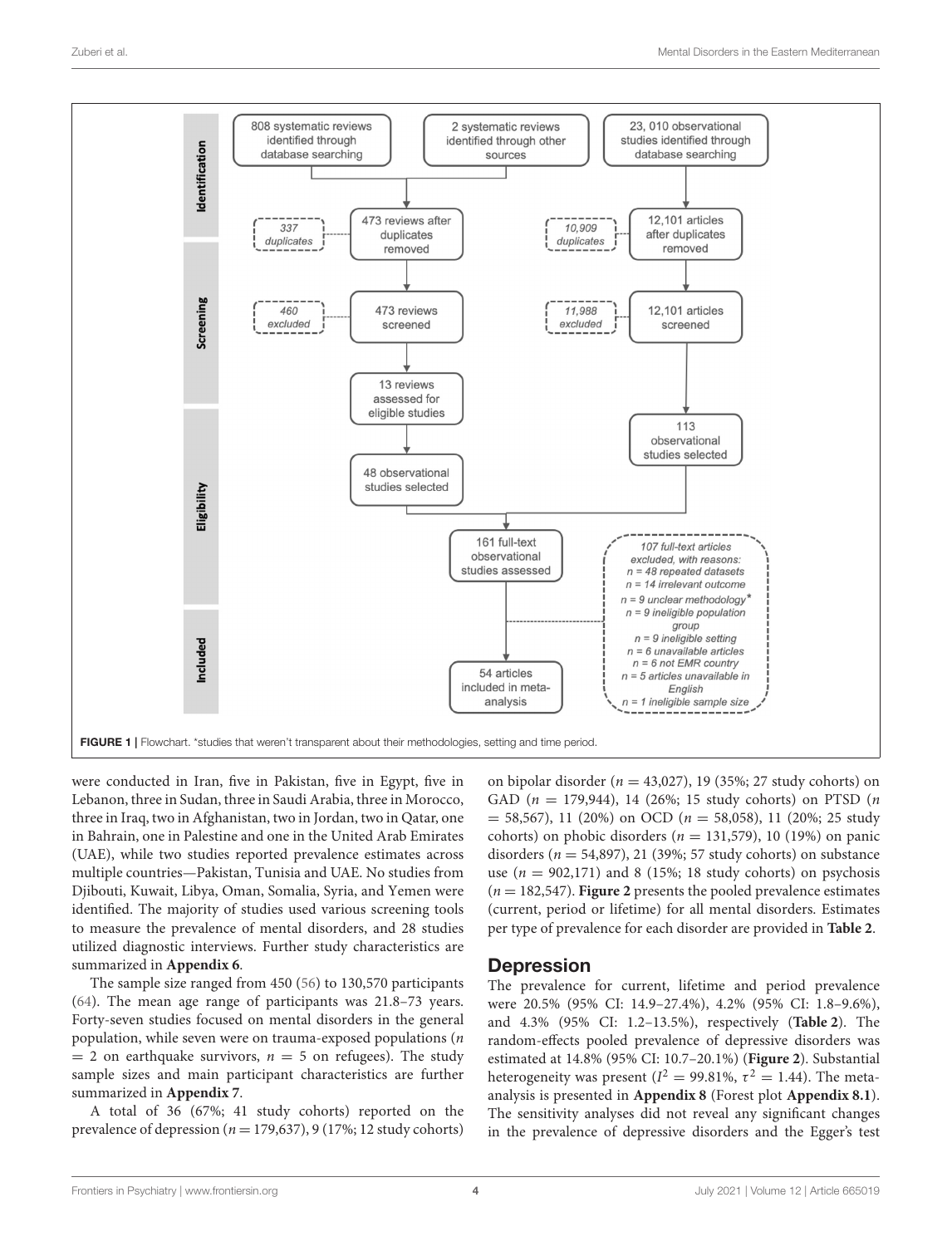

<span id="page-3-0"></span>were conducted in Iran, five in Pakistan, five in Egypt, five in Lebanon, three in Sudan, three in Saudi Arabia, three in Morocco, three in Iraq, two in Afghanistan, two in Jordan, two in Qatar, one in Bahrain, one in Palestine and one in the United Arab Emirates (UAE), while two studies reported prevalence estimates across multiple countries—Pakistan, Tunisia and UAE. No studies from Djibouti, Kuwait, Libya, Oman, Somalia, Syria, and Yemen were identified. The majority of studies used various screening tools to measure the prevalence of mental disorders, and 28 studies utilized diagnostic interviews. Further study characteristics are summarized in **[Appendix 6](#page-8-5)**.

The sample size ranged from 450 [\(56\)](#page-10-1) to 130,570 participants [\(64\)](#page-10-2). The mean age range of participants was 21.8–73 years. Forty-seven studies focused on mental disorders in the general population, while seven were on trauma-exposed populations  $(n)$  $= 2$  on earthquake survivors,  $n = 5$  on refugees). The study sample sizes and main participant characteristics are further summarized in **[Appendix 7](#page-8-5)**.

A total of 36 (67%; 41 study cohorts) reported on the prevalence of depression ( $n = 179,637$ ), 9 (17%; 12 study cohorts)

on bipolar disorder ( $n = 43,027$ ), 19 (35%; 27 study cohorts) on GAD ( $n = 179,944$ ), 14 (26%; 15 study cohorts) on PTSD ( $n$  $= 58,567$ , 11 (20%) on OCD ( $n = 58,058$ ), 11 (20%; 25 study cohorts) on phobic disorders ( $n = 131,579$ ), 10 (19%) on panic disorders ( $n = 54,897$ ), 21 (39%; 57 study cohorts) on substance use ( $n = 902,171$ ) and 8 (15%; 18 study cohorts) on psychosis  $(n = 182, 547)$ . **[Figure 2](#page-4-0)** presents the pooled prevalence estimates (current, period or lifetime) for all mental disorders. Estimates per type of prevalence for each disorder are provided in **[Table 2](#page-5-0)**.

#### **Depression**

The prevalence for current, lifetime and period prevalence were 20.5% (95% CI: 14.9–27.4%), 4.2% (95% CI: 1.8–9.6%), and 4.3% (95% CI: 1.2–13.5%), respectively (**[Table 2](#page-5-0)**). The random-effects pooled prevalence of depressive disorders was estimated at 14.8% (95% CI: 10.7–20.1%) (**[Figure 2](#page-4-0)**). Substantial heterogeneity was present ( $I^2 = 99.81\%$ ,  $\tau^2 = 1.44$ ). The metaanalysis is presented in **[Appendix 8](#page-8-5)** (Forest plot **[Appendix 8.1](#page-8-5)**). The sensitivity analyses did not reveal any significant changes in the prevalence of depressive disorders and the Egger's test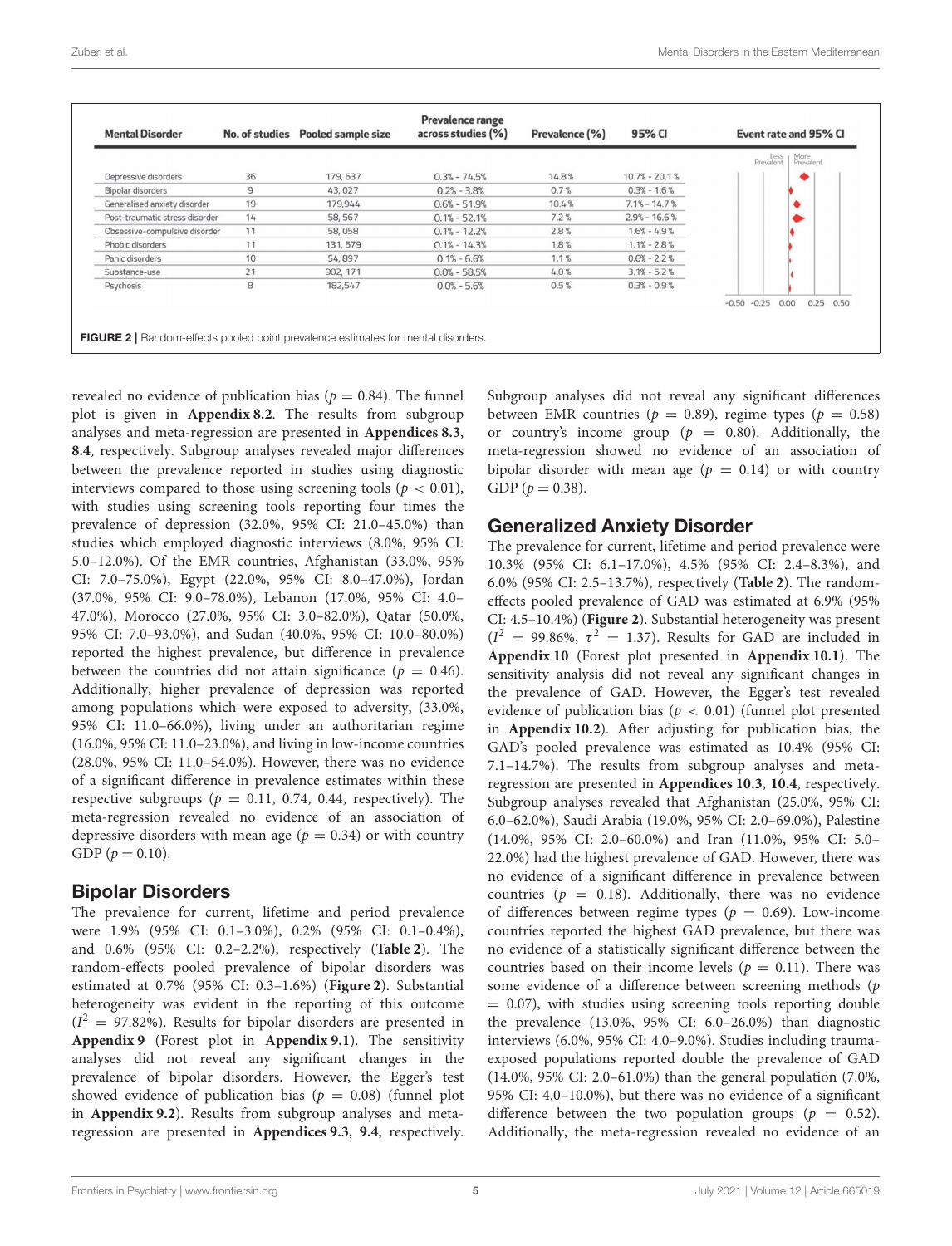| <b>Mental Disorder</b>         |                | No. of studies Pooled sample size | Prevalence range<br>across studies (%) | Prevalence (%) | 95% CI            | Event rate and 95% CI                      |
|--------------------------------|----------------|-----------------------------------|----------------------------------------|----------------|-------------------|--------------------------------------------|
|                                |                |                                   |                                        |                |                   | More<br>Prevalent<br>Less<br>Prevalent     |
| Depressive disorders           | 36             | 179, 637                          | $0.3\% - 74.5\%$                       | 14.8%          | $10.7\% - 20.1\%$ |                                            |
| Bipolar disorders              | $\overline{9}$ | 43,027                            | $0.2\% - 3.8\%$                        | 0.7%           | $0.3\% - 1.6\%$   |                                            |
| Generalised anxiety disorder   | 19             | 179,944                           | $0.6\% - 51.9\%$                       | 10.4%          | $7.1\% - 14.7\%$  |                                            |
| Post-traumatic stress disorder | 14             | 58, 567                           | $0.1\% - 52.1\%$                       | 7.2%           | $2.9\% - 16.6\%$  |                                            |
| Obsessive-compulsive disorder  | 11             | 58,058                            | $0.1\% - 12.2\%$                       | 2.8%           | $1.6\% - 4.9\%$   |                                            |
| Phobic disorders               | 11             | 131, 579                          | $0.1\% - 14.3\%$                       | 1.8%           | $1.1\% - 2.8\%$   |                                            |
| Panic disorders                | 10             | 54,897                            | $0.1\% - 6.6\%$                        | 1.1%           | $0.6\% - 2.2\%$   |                                            |
| Substance-use                  | 21             | 902, 171                          | $0.0\% - 58.5\%$                       | 4.0%           | $3.1\% - 5.2\%$   |                                            |
| Psychosis                      | 8              | 182,547                           | $0.0\% - 5.6\%$                        | 0.5%           | $0.3\% - 0.9\%$   |                                            |
|                                |                |                                   |                                        |                |                   | $-0.50$<br>$-0.25$<br>0.00<br>0.25<br>0.50 |

<span id="page-4-0"></span>revealed no evidence of publication bias ( $p = 0.84$ ). The funnel plot is given in **[Appendix 8.2](#page-8-5)**. The results from subgroup analyses and meta-regression are presented in **[Appendices 8.3](#page-8-5)**, **[8.4](#page-8-5)**, respectively. Subgroup analyses revealed major differences between the prevalence reported in studies using diagnostic interviews compared to those using screening tools ( $p < 0.01$ ), with studies using screening tools reporting four times the prevalence of depression (32.0%, 95% CI: 21.0–45.0%) than studies which employed diagnostic interviews (8.0%, 95% CI: 5.0–12.0%). Of the EMR countries, Afghanistan (33.0%, 95% CI: 7.0–75.0%), Egypt (22.0%, 95% CI: 8.0–47.0%), Jordan (37.0%, 95% CI: 9.0–78.0%), Lebanon (17.0%, 95% CI: 4.0– 47.0%), Morocco (27.0%, 95% CI: 3.0–82.0%), Qatar (50.0%, 95% CI: 7.0–93.0%), and Sudan (40.0%, 95% CI: 10.0–80.0%) reported the highest prevalence, but difference in prevalence between the countries did not attain significance ( $p = 0.46$ ). Additionally, higher prevalence of depression was reported among populations which were exposed to adversity, (33.0%, 95% CI: 11.0–66.0%), living under an authoritarian regime (16.0%, 95% CI: 11.0–23.0%), and living in low-income countries (28.0%, 95% CI: 11.0–54.0%). However, there was no evidence of a significant difference in prevalence estimates within these respective subgroups ( $p = 0.11$ , 0.74, 0.44, respectively). The meta-regression revealed no evidence of an association of depressive disorders with mean age ( $p = 0.34$ ) or with country GDP ( $p = 0.10$ ).

#### Bipolar Disorders

The prevalence for current, lifetime and period prevalence were 1.9% (95% CI: 0.1–3.0%), 0.2% (95% CI: 0.1–0.4%), and 0.6% (95% CI: 0.2–2.2%), respectively (**[Table 2](#page-5-0)**). The random-effects pooled prevalence of bipolar disorders was estimated at 0.7% (95% CI: 0.3–1.6%) (**[Figure 2](#page-4-0)**). Substantial heterogeneity was evident in the reporting of this outcome  $(I<sup>2</sup> = 97.82%)$ . Results for bipolar disorders are presented in **[Appendix 9](#page-8-5)** (Forest plot in **[Appendix 9.1](#page-8-5)**). The sensitivity analyses did not reveal any significant changes in the prevalence of bipolar disorders. However, the Egger's test showed evidence of publication bias ( $p = 0.08$ ) (funnel plot in **[Appendix 9.2](#page-8-5)**). Results from subgroup analyses and metaregression are presented in **[Appendices 9.3](#page-8-5)**, **[9.4](#page-8-5)**, respectively. Subgroup analyses did not reveal any significant differences between EMR countries ( $p = 0.89$ ), regime types ( $p = 0.58$ ) or country's income group ( $p = 0.80$ ). Additionally, the meta-regression showed no evidence of an association of bipolar disorder with mean age ( $p = 0.14$ ) or with country GDP ( $p = 0.38$ ).

#### Generalized Anxiety Disorder

The prevalence for current, lifetime and period prevalence were 10.3% (95% CI: 6.1–17.0%), 4.5% (95% CI: 2.4–8.3%), and 6.0% (95% CI: 2.5–13.7%), respectively (**[Table 2](#page-5-0)**). The randomeffects pooled prevalence of GAD was estimated at 6.9% (95% CI: 4.5–10.4%) (**[Figure 2](#page-4-0)**). Substantial heterogeneity was present  $(I^2 = 99.86\%, \tau^2 = 1.37)$ . Results for GAD are included in **[Appendix 10](#page-8-5)** (Forest plot presented in **[Appendix 10.1](#page-8-5)**). The sensitivity analysis did not reveal any significant changes in the prevalence of GAD. However, the Egger's test revealed evidence of publication bias ( $p < 0.01$ ) (funnel plot presented in **[Appendix 10.2](#page-8-5)**). After adjusting for publication bias, the GAD's pooled prevalence was estimated as 10.4% (95% CI: 7.1–14.7%). The results from subgroup analyses and metaregression are presented in **[Appendices 10.3](#page-8-5)**, **[10.4](#page-8-5)**, respectively. Subgroup analyses revealed that Afghanistan (25.0%, 95% CI: 6.0–62.0%), Saudi Arabia (19.0%, 95% CI: 2.0–69.0%), Palestine (14.0%, 95% CI: 2.0–60.0%) and Iran (11.0%, 95% CI: 5.0– 22.0%) had the highest prevalence of GAD. However, there was no evidence of a significant difference in prevalence between countries ( $p = 0.18$ ). Additionally, there was no evidence of differences between regime types ( $p = 0.69$ ). Low-income countries reported the highest GAD prevalence, but there was no evidence of a statistically significant difference between the countries based on their income levels ( $p = 0.11$ ). There was some evidence of a difference between screening methods (p  $= 0.07$ ), with studies using screening tools reporting double the prevalence (13.0%, 95% CI: 6.0–26.0%) than diagnostic interviews (6.0%, 95% CI: 4.0–9.0%). Studies including traumaexposed populations reported double the prevalence of GAD (14.0%, 95% CI: 2.0–61.0%) than the general population (7.0%, 95% CI: 4.0–10.0%), but there was no evidence of a significant difference between the two population groups ( $p = 0.52$ ). Additionally, the meta-regression revealed no evidence of an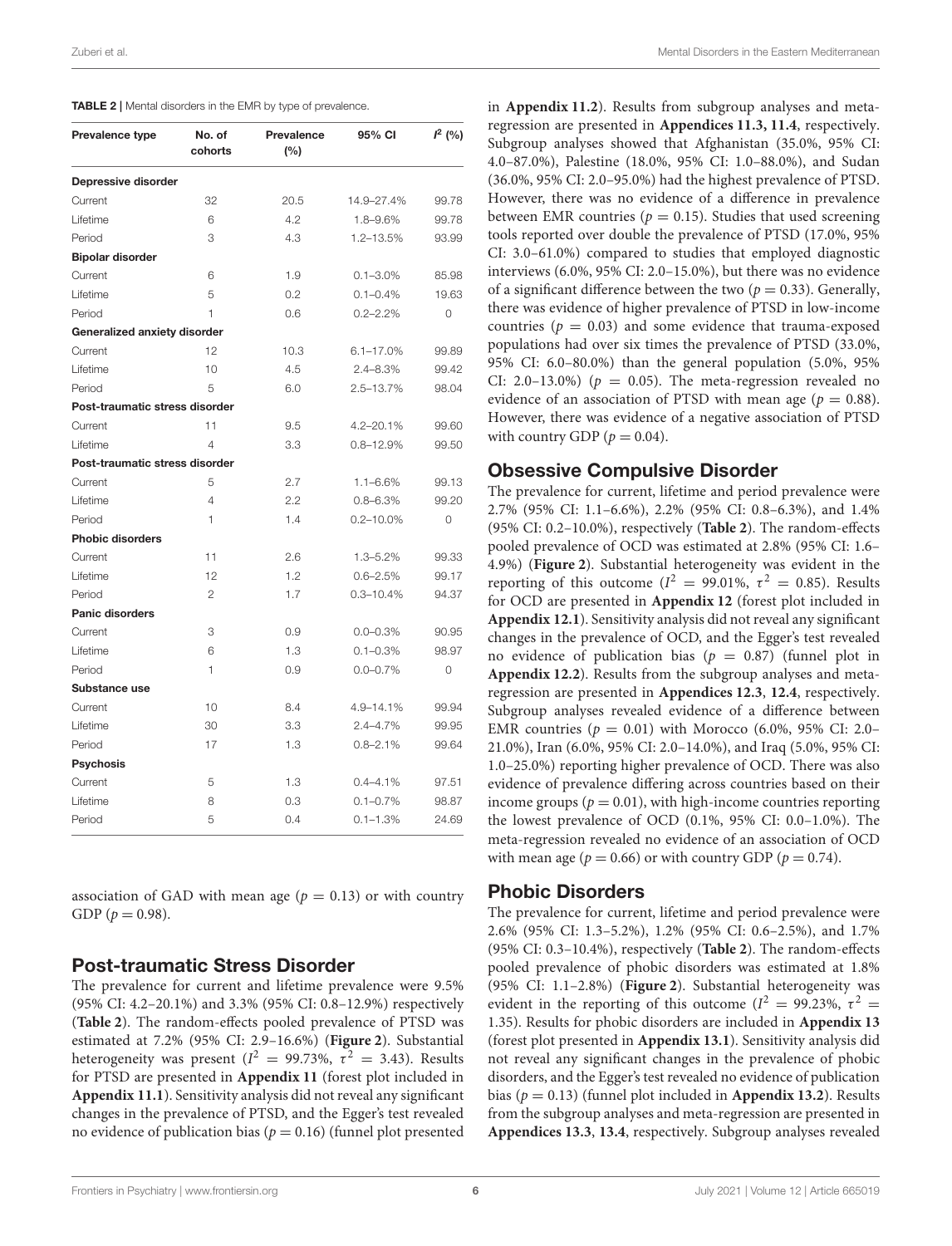<span id="page-5-0"></span>

| Prevalence type                | No. of<br>cohorts | Prevalence<br>(%) | 95% CI         | $I^2$ (%)      |
|--------------------------------|-------------------|-------------------|----------------|----------------|
| Depressive disorder            |                   |                   |                |                |
| Current                        | 32                | 20.5              | 14.9-27.4%     | 99.78          |
| Lifetime                       | 6                 | 4.2               | 1.8-9.6%       | 99.78          |
| Period                         | 3                 | 4.3               | 1.2-13.5%      | 93.99          |
| <b>Bipolar disorder</b>        |                   |                   |                |                |
| Current                        | 6                 | 1.9               | $0.1 - 3.0\%$  | 85.98          |
| Lifetime                       | 5                 | 0.2               | $0.1 - 0.4\%$  | 19.63          |
| Period                         | 1                 | 0.6               | $0.2 - 2.2%$   | $\Omega$       |
| Generalized anxiety disorder   |                   |                   |                |                |
| Current                        | 12                | 10.3              | $6.1 - 17.0%$  | 99.89          |
| Lifetime                       | 10                | 4.5               | $2.4 - 8.3\%$  | 99.42          |
| Period                         | 5                 | 6.0               | 2.5-13.7%      | 98.04          |
| Post-traumatic stress disorder |                   |                   |                |                |
| Current                        | 11                | 9.5               | 4.2-20.1%      | 99.60          |
| Lifetime                       | 4                 | 3.3               | $0.8 - 12.9%$  | 99.50          |
| Post-traumatic stress disorder |                   |                   |                |                |
| Current                        | 5                 | 2.7               | $1.1 - 6.6%$   | 99.13          |
| Lifetime                       | 4                 | 2.2               | $0.8 - 6.3\%$  | 99.20          |
| Period                         | 1                 | 1.4               | $0.2 - 10.0\%$ | $\overline{O}$ |
| <b>Phobic disorders</b>        |                   |                   |                |                |
| Current                        | 11                | 2.6               | $1.3 - 5.2%$   | 99.33          |
| Lifetime                       | 12                | 1.2               | $0.6 - 2.5%$   | 99.17          |
| Period                         | $\overline{2}$    | 1.7               | $0.3 - 10.4%$  | 94.37          |
| <b>Panic disorders</b>         |                   |                   |                |                |
| Current                        | 3                 | 0.9               | $0.0 - 0.3\%$  | 90.95          |
| Lifetime                       | 6                 | 1.3               | $0.1 - 0.3\%$  | 98.97          |
| Period                         | 1                 | 0.9               | $0.0 - 0.7\%$  | $\overline{O}$ |
| Substance use                  |                   |                   |                |                |
| Current                        | 10                | 8.4               | 4.9-14.1%      | 99.94          |
| Lifetime                       | 30                | 3.3               | $2.4 - 4.7%$   | 99.95          |
| Period                         | 17                | 1.3               | $0.8 - 2.1%$   | 99.64          |
| <b>Psychosis</b>               |                   |                   |                |                |
| Current                        | 5                 | 1.3               | $0.4 - 4.1%$   | 97.51          |
| Lifetime                       | 8                 | 0.3               | $0.1 - 0.7\%$  | 98.87          |
| Period                         | 5                 | 0.4               | $0.1 - 1.3%$   | 24.69          |

association of GAD with mean age ( $p = 0.13$ ) or with country GDP ( $p = 0.98$ ).

#### Post-traumatic Stress Disorder

The prevalence for current and lifetime prevalence were 9.5% (95% CI: 4.2–20.1%) and 3.3% (95% CI: 0.8–12.9%) respectively (**[Table 2](#page-5-0)**). The random-effects pooled prevalence of PTSD was estimated at 7.2% (95% CI: 2.9–16.6%) (**[Figure 2](#page-4-0)**). Substantial heterogeneity was present ( $I^2 = 99.73\%$ ,  $\tau^2 = 3.43$ ). Results for PTSD are presented in **[Appendix 11](#page-8-5)** (forest plot included in **[Appendix 11.1](#page-8-5)**). Sensitivity analysis did not reveal any significant changes in the prevalence of PTSD, and the Egger's test revealed no evidence of publication bias ( $p = 0.16$ ) (funnel plot presented

in **[Appendix 11.2](#page-8-5)**). Results from subgroup analyses and metaregression are presented in **[Appendices 11.3, 11.4](#page-8-5)**, respectively. Subgroup analyses showed that Afghanistan (35.0%, 95% CI: 4.0–87.0%), Palestine (18.0%, 95% CI: 1.0–88.0%), and Sudan (36.0%, 95% CI: 2.0–95.0%) had the highest prevalence of PTSD. However, there was no evidence of a difference in prevalence between EMR countries ( $p = 0.15$ ). Studies that used screening tools reported over double the prevalence of PTSD (17.0%, 95% CI: 3.0–61.0%) compared to studies that employed diagnostic interviews (6.0%, 95% CI: 2.0–15.0%), but there was no evidence of a significant difference between the two ( $p = 0.33$ ). Generally, there was evidence of higher prevalence of PTSD in low-income countries ( $p = 0.03$ ) and some evidence that trauma-exposed populations had over six times the prevalence of PTSD (33.0%, 95% CI: 6.0–80.0%) than the general population (5.0%, 95% CI: 2.0–13.0%) ( $p = 0.05$ ). The meta-regression revealed no evidence of an association of PTSD with mean age ( $p = 0.88$ ). However, there was evidence of a negative association of PTSD with country GDP ( $p = 0.04$ ).

#### Obsessive Compulsive Disorder

The prevalence for current, lifetime and period prevalence were 2.7% (95% CI: 1.1–6.6%), 2.2% (95% CI: 0.8–6.3%), and 1.4% (95% CI: 0.2–10.0%), respectively (**[Table 2](#page-5-0)**). The random-effects pooled prevalence of OCD was estimated at 2.8% (95% CI: 1.6– 4.9%) (**[Figure 2](#page-4-0)**). Substantial heterogeneity was evident in the reporting of this outcome ( $I^2 = 99.01\%$ ,  $\tau^2 = 0.85$ ). Results for OCD are presented in **[Appendix 12](#page-8-5)** (forest plot included in **[Appendix 12.1](#page-8-5)**). Sensitivity analysis did not reveal any significant changes in the prevalence of OCD, and the Egger's test revealed no evidence of publication bias ( $p = 0.87$ ) (funnel plot in **[Appendix 12.2](#page-8-5)**). Results from the subgroup analyses and metaregression are presented in **[Appendices 12.3](#page-8-5)**, **[12.4](#page-8-5)**, respectively. Subgroup analyses revealed evidence of a difference between EMR countries ( $p = 0.01$ ) with Morocco (6.0%, 95% CI: 2.0– 21.0%), Iran (6.0%, 95% CI: 2.0–14.0%), and Iraq (5.0%, 95% CI: 1.0–25.0%) reporting higher prevalence of OCD. There was also evidence of prevalence differing across countries based on their income groups ( $p = 0.01$ ), with high-income countries reporting the lowest prevalence of OCD (0.1%, 95% CI: 0.0–1.0%). The meta-regression revealed no evidence of an association of OCD with mean age ( $p = 0.66$ ) or with country GDP ( $p = 0.74$ ).

#### Phobic Disorders

The prevalence for current, lifetime and period prevalence were 2.6% (95% CI: 1.3–5.2%), 1.2% (95% CI: 0.6–2.5%), and 1.7% (95% CI: 0.3–10.4%), respectively (**[Table 2](#page-5-0)**). The random-effects pooled prevalence of phobic disorders was estimated at 1.8% (95% CI: 1.1–2.8%) (**[Figure 2](#page-4-0)**). Substantial heterogeneity was evident in the reporting of this outcome ( $I^2 = 99.23\%$ ,  $\tau^2 =$ 1.35). Results for phobic disorders are included in **[Appendix 13](#page-8-5)** (forest plot presented in **[Appendix 13.1](#page-8-5)**). Sensitivity analysis did not reveal any significant changes in the prevalence of phobic disorders, and the Egger's test revealed no evidence of publication bias  $(p = 0.13)$  (funnel plot included in **[Appendix 13.2](#page-8-5)**). Results from the subgroup analyses and meta-regression are presented in **[Appendices 13.3](#page-8-5)**, **[13.4](#page-8-5)**, respectively. Subgroup analyses revealed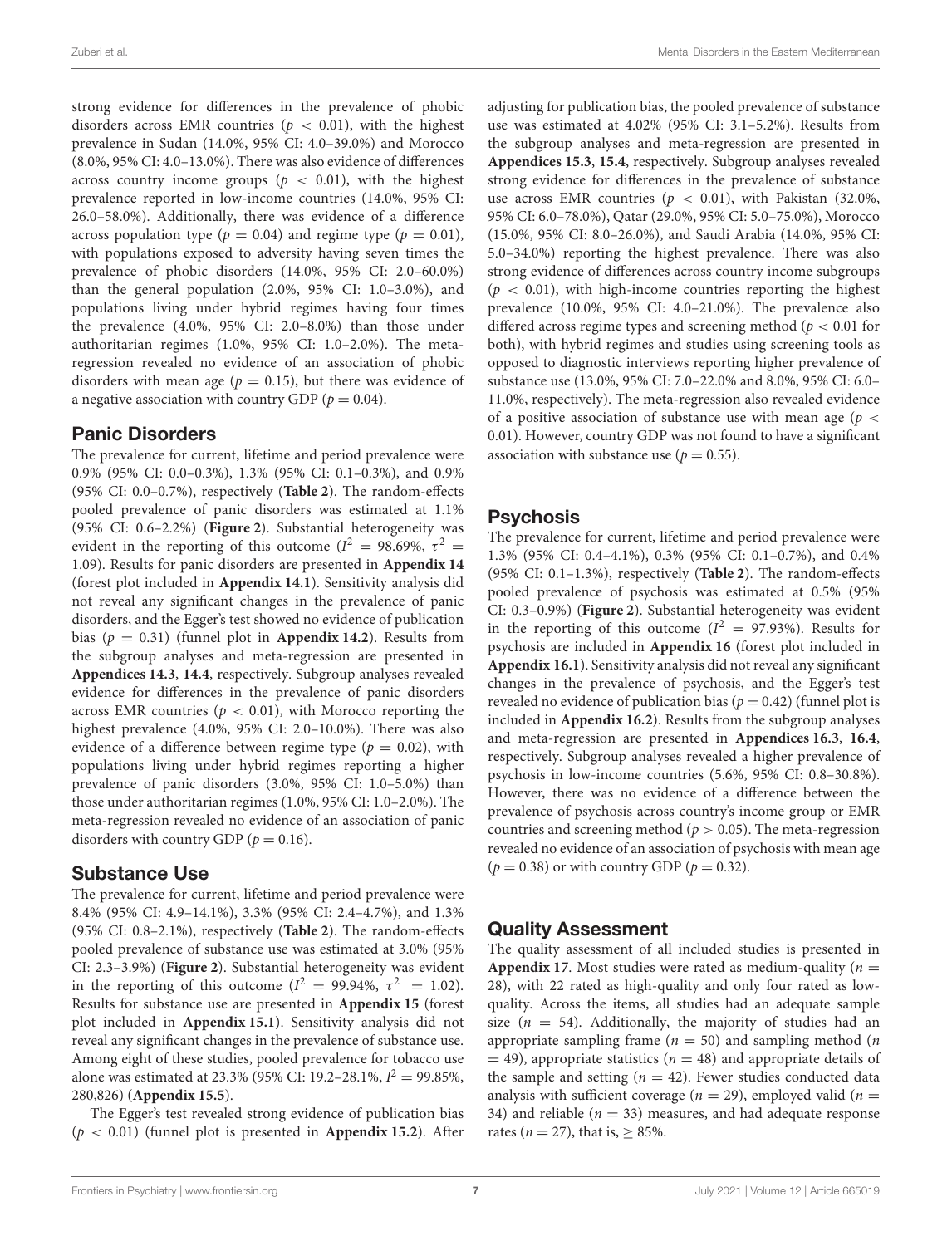strong evidence for differences in the prevalence of phobic disorders across EMR countries ( $p < 0.01$ ), with the highest prevalence in Sudan (14.0%, 95% CI: 4.0–39.0%) and Morocco (8.0%, 95% CI: 4.0–13.0%). There was also evidence of differences across country income groups ( $p < 0.01$ ), with the highest prevalence reported in low-income countries (14.0%, 95% CI: 26.0–58.0%). Additionally, there was evidence of a difference across population type ( $p = 0.04$ ) and regime type ( $p = 0.01$ ), with populations exposed to adversity having seven times the prevalence of phobic disorders (14.0%, 95% CI: 2.0–60.0%) than the general population (2.0%, 95% CI: 1.0–3.0%), and populations living under hybrid regimes having four times the prevalence (4.0%, 95% CI: 2.0–8.0%) than those under authoritarian regimes (1.0%, 95% CI: 1.0–2.0%). The metaregression revealed no evidence of an association of phobic disorders with mean age ( $p = 0.15$ ), but there was evidence of a negative association with country GDP ( $p = 0.04$ ).

#### Panic Disorders

The prevalence for current, lifetime and period prevalence were 0.9% (95% CI: 0.0–0.3%), 1.3% (95% CI: 0.1–0.3%), and 0.9% (95% CI: 0.0–0.7%), respectively (**[Table 2](#page-5-0)**). The random-effects pooled prevalence of panic disorders was estimated at 1.1% (95% CI: 0.6–2.2%) (**[Figure 2](#page-4-0)**). Substantial heterogeneity was evident in the reporting of this outcome ( $I^2 = 98.69\%$ ,  $\tau^2 =$ 1.09). Results for panic disorders are presented in **[Appendix 14](#page-8-5)** (forest plot included in **[Appendix 14.1](#page-8-5)**). Sensitivity analysis did not reveal any significant changes in the prevalence of panic disorders, and the Egger's test showed no evidence of publication bias ( $p = 0.31$ ) (funnel plot in **[Appendix 14.2](#page-8-5)**). Results from the subgroup analyses and meta-regression are presented in **[Appendices 14.3](#page-8-5)**, **[14.4](#page-8-5)**, respectively. Subgroup analyses revealed evidence for differences in the prevalence of panic disorders across EMR countries ( $p < 0.01$ ), with Morocco reporting the highest prevalence (4.0%, 95% CI: 2.0–10.0%). There was also evidence of a difference between regime type ( $p = 0.02$ ), with populations living under hybrid regimes reporting a higher prevalence of panic disorders (3.0%, 95% CI: 1.0–5.0%) than those under authoritarian regimes (1.0%, 95% CI: 1.0–2.0%). The meta-regression revealed no evidence of an association of panic disorders with country GDP ( $p = 0.16$ ).

# Substance Use

The prevalence for current, lifetime and period prevalence were 8.4% (95% CI: 4.9–14.1%), 3.3% (95% CI: 2.4–4.7%), and 1.3% (95% CI: 0.8–2.1%), respectively (**[Table 2](#page-5-0)**). The random-effects pooled prevalence of substance use was estimated at 3.0% (95% CI: 2.3–3.9%) (**[Figure 2](#page-4-0)**). Substantial heterogeneity was evident in the reporting of this outcome ( $I^2 = 99.94\%$ ,  $\tau^2 = 1.02$ ). Results for substance use are presented in **[Appendix 15](#page-8-5)** (forest plot included in **[Appendix 15.1](#page-8-5)**). Sensitivity analysis did not reveal any significant changes in the prevalence of substance use. Among eight of these studies, pooled prevalence for tobacco use alone was estimated at 23.3% (95% CI: 19.2–28.1%,  $I^2 = 99.85\%$ , 280,826) (**[Appendix 15.5](#page-8-5)**).

The Egger's test revealed strong evidence of publication bias (p < 0.01) (funnel plot is presented in **[Appendix 15.2](#page-8-5)**). After adjusting for publication bias, the pooled prevalence of substance use was estimated at 4.02% (95% CI: 3.1–5.2%). Results from the subgroup analyses and meta-regression are presented in **[Appendices 15.3](#page-8-5)**, **[15.4](#page-8-5)**, respectively. Subgroup analyses revealed strong evidence for differences in the prevalence of substance use across EMR countries ( $p < 0.01$ ), with Pakistan (32.0%, 95% CI: 6.0–78.0%), Qatar (29.0%, 95% CI: 5.0–75.0%), Morocco (15.0%, 95% CI: 8.0–26.0%), and Saudi Arabia (14.0%, 95% CI: 5.0–34.0%) reporting the highest prevalence. There was also strong evidence of differences across country income subgroups  $(p < 0.01)$ , with high-income countries reporting the highest prevalence (10.0%, 95% CI: 4.0–21.0%). The prevalence also differed across regime types and screening method ( $p < 0.01$  for both), with hybrid regimes and studies using screening tools as opposed to diagnostic interviews reporting higher prevalence of substance use (13.0%, 95% CI: 7.0–22.0% and 8.0%, 95% CI: 6.0– 11.0%, respectively). The meta-regression also revealed evidence of a positive association of substance use with mean age ( $p <$ 0.01). However, country GDP was not found to have a significant association with substance use ( $p = 0.55$ ).

# **Psychosis**

The prevalence for current, lifetime and period prevalence were 1.3% (95% CI: 0.4–4.1%), 0.3% (95% CI: 0.1–0.7%), and 0.4% (95% CI: 0.1–1.3%), respectively (**[Table 2](#page-5-0)**). The random-effects pooled prevalence of psychosis was estimated at 0.5% (95% CI: 0.3–0.9%) (**[Figure 2](#page-4-0)**). Substantial heterogeneity was evident in the reporting of this outcome ( $I^2 = 97.93\%$ ). Results for psychosis are included in **[Appendix 16](#page-8-5)** (forest plot included in **[Appendix 16.1](#page-8-5)**). Sensitivity analysis did not reveal any significant changes in the prevalence of psychosis, and the Egger's test revealed no evidence of publication bias ( $p = 0.42$ ) (funnel plot is included in **[Appendix 16.2](#page-8-5)**). Results from the subgroup analyses and meta-regression are presented in **[Appendices 16.3](#page-8-5)**, **[16.4](#page-8-5)**, respectively. Subgroup analyses revealed a higher prevalence of psychosis in low-income countries (5.6%, 95% CI: 0.8–30.8%). However, there was no evidence of a difference between the prevalence of psychosis across country's income group or EMR countries and screening method ( $p > 0.05$ ). The meta-regression revealed no evidence of an association of psychosis with mean age  $(p = 0.38)$  or with country GDP  $(p = 0.32)$ .

# Quality Assessment

The quality assessment of all included studies is presented in **[Appendix 17](#page-8-5).** Most studies were rated as medium-quality ( $n =$ 28), with 22 rated as high-quality and only four rated as lowquality. Across the items, all studies had an adequate sample size ( $n = 54$ ). Additionally, the majority of studies had an appropriate sampling frame ( $n = 50$ ) and sampling method (*n*)  $=$  49), appropriate statistics ( $n = 48$ ) and appropriate details of the sample and setting ( $n = 42$ ). Fewer studies conducted data analysis with sufficient coverage ( $n = 29$ ), employed valid ( $n =$ 34) and reliable ( $n = 33$ ) measures, and had adequate response rates ( $n = 27$ ), that is,  $\geq 85\%$ .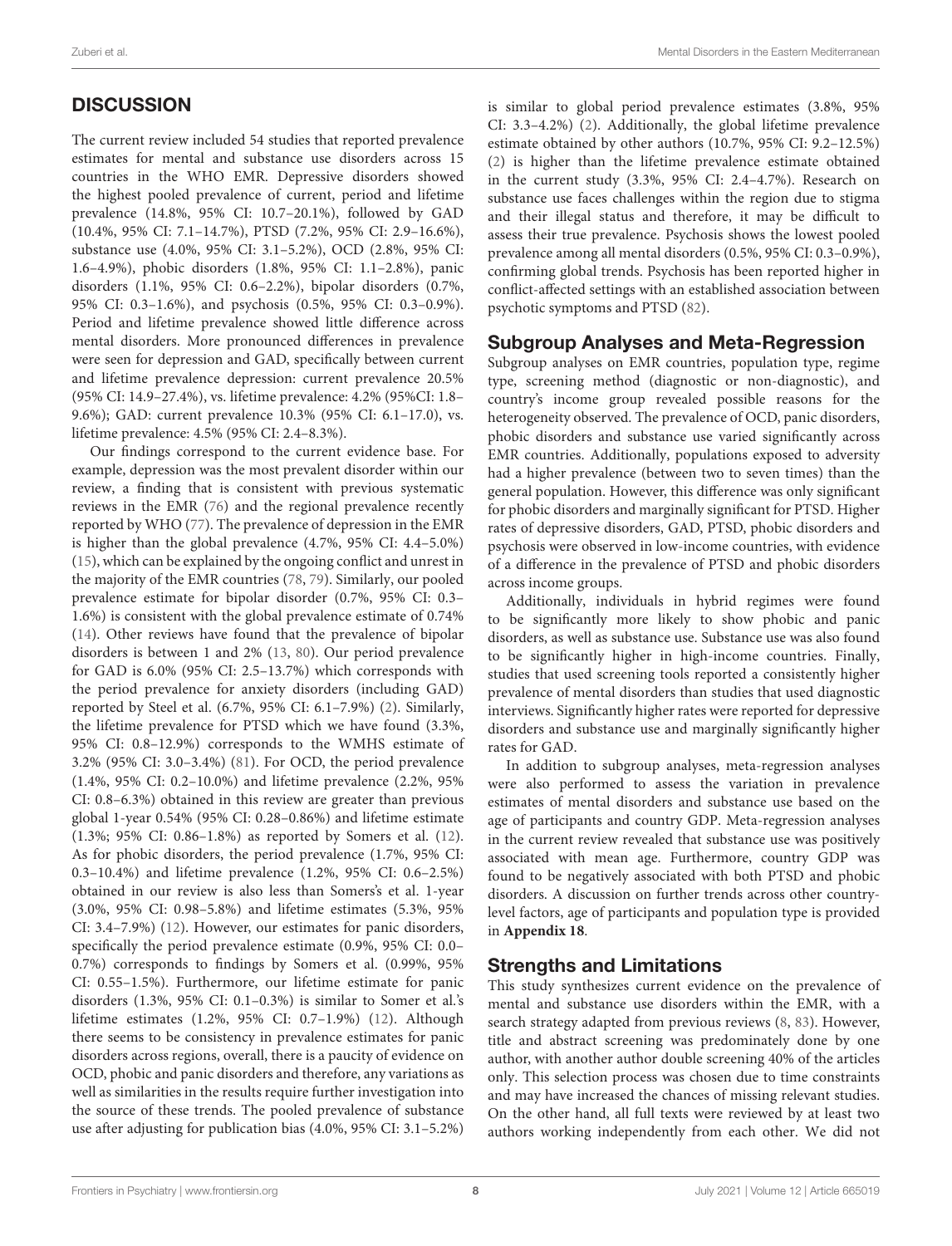# **DISCUSSION**

The current review included 54 studies that reported prevalence estimates for mental and substance use disorders across 15 countries in the WHO EMR. Depressive disorders showed the highest pooled prevalence of current, period and lifetime prevalence (14.8%, 95% CI: 10.7–20.1%), followed by GAD (10.4%, 95% CI: 7.1–14.7%), PTSD (7.2%, 95% CI: 2.9–16.6%), substance use (4.0%, 95% CI: 3.1–5.2%), OCD (2.8%, 95% CI: 1.6–4.9%), phobic disorders (1.8%, 95% CI: 1.1–2.8%), panic disorders (1.1%, 95% CI: 0.6–2.2%), bipolar disorders (0.7%, 95% CI: 0.3–1.6%), and psychosis (0.5%, 95% CI: 0.3–0.9%). Period and lifetime prevalence showed little difference across mental disorders. More pronounced differences in prevalence were seen for depression and GAD, specifically between current and lifetime prevalence depression: current prevalence 20.5% (95% CI: 14.9–27.4%), vs. lifetime prevalence: 4.2% (95%CI: 1.8– 9.6%); GAD: current prevalence 10.3% (95% CI: 6.1–17.0), vs. lifetime prevalence: 4.5% (95% CI: 2.4–8.3%).

Our findings correspond to the current evidence base. For example, depression was the most prevalent disorder within our review, a finding that is consistent with previous systematic reviews in the EMR [\(76\)](#page-10-3) and the regional prevalence recently reported by WHO [\(77\)](#page-10-4). The prevalence of depression in the EMR is higher than the global prevalence (4.7%, 95% CI: 4.4–5.0%) [\(15\)](#page-9-14), which can be explained by the ongoing conflict and unrest in the majority of the EMR countries [\(78,](#page-10-5) [79\)](#page-10-6). Similarly, our pooled prevalence estimate for bipolar disorder (0.7%, 95% CI: 0.3– 1.6%) is consistent with the global prevalence estimate of 0.74% [\(14\)](#page-9-6). Other reviews have found that the prevalence of bipolar disorders is between 1 and 2% [\(13,](#page-9-5) [80\)](#page-10-7). Our period prevalence for GAD is 6.0% (95% CI: 2.5–13.7%) which corresponds with the period prevalence for anxiety disorders (including GAD) reported by Steel et al. (6.7%, 95% CI: 6.1–7.9%) [\(2\)](#page-8-1). Similarly, the lifetime prevalence for PTSD which we have found (3.3%, 95% CI: 0.8–12.9%) corresponds to the WMHS estimate of 3.2% (95% CI: 3.0–3.4%) [\(81\)](#page-10-8). For OCD, the period prevalence (1.4%, 95% CI: 0.2–10.0%) and lifetime prevalence (2.2%, 95% CI: 0.8–6.3%) obtained in this review are greater than previous global 1-year 0.54% (95% CI: 0.28–0.86%) and lifetime estimate (1.3%; 95% CI: 0.86–1.8%) as reported by Somers et al. [\(12\)](#page-9-4). As for phobic disorders, the period prevalence (1.7%, 95% CI: 0.3–10.4%) and lifetime prevalence (1.2%, 95% CI: 0.6–2.5%) obtained in our review is also less than Somers's et al. 1-year (3.0%, 95% CI: 0.98–5.8%) and lifetime estimates (5.3%, 95% CI: 3.4–7.9%) [\(12\)](#page-9-4). However, our estimates for panic disorders, specifically the period prevalence estimate (0.9%, 95% CI: 0.0– 0.7%) corresponds to findings by Somers et al. (0.99%, 95% CI: 0.55–1.5%). Furthermore, our lifetime estimate for panic disorders (1.3%, 95% CI: 0.1–0.3%) is similar to Somer et al.'s lifetime estimates (1.2%, 95% CI: 0.7–1.9%) [\(12\)](#page-9-4). Although there seems to be consistency in prevalence estimates for panic disorders across regions, overall, there is a paucity of evidence on OCD, phobic and panic disorders and therefore, any variations as well as similarities in the results require further investigation into the source of these trends. The pooled prevalence of substance use after adjusting for publication bias (4.0%, 95% CI: 3.1–5.2%)

is similar to global period prevalence estimates (3.8%, 95% CI: 3.3–4.2%) [\(2\)](#page-8-1). Additionally, the global lifetime prevalence estimate obtained by other authors (10.7%, 95% CI: 9.2–12.5%) [\(2\)](#page-8-1) is higher than the lifetime prevalence estimate obtained in the current study (3.3%, 95% CI: 2.4–4.7%). Research on substance use faces challenges within the region due to stigma and their illegal status and therefore, it may be difficult to assess their true prevalence. Psychosis shows the lowest pooled prevalence among all mental disorders (0.5%, 95% CI: 0.3–0.9%), confirming global trends. Psychosis has been reported higher in conflict-affected settings with an established association between psychotic symptoms and PTSD [\(82\)](#page-10-9).

#### Subgroup Analyses and Meta-Regression

Subgroup analyses on EMR countries, population type, regime type, screening method (diagnostic or non-diagnostic), and country's income group revealed possible reasons for the heterogeneity observed. The prevalence of OCD, panic disorders, phobic disorders and substance use varied significantly across EMR countries. Additionally, populations exposed to adversity had a higher prevalence (between two to seven times) than the general population. However, this difference was only significant for phobic disorders and marginally significant for PTSD. Higher rates of depressive disorders, GAD, PTSD, phobic disorders and psychosis were observed in low-income countries, with evidence of a difference in the prevalence of PTSD and phobic disorders across income groups.

Additionally, individuals in hybrid regimes were found to be significantly more likely to show phobic and panic disorders, as well as substance use. Substance use was also found to be significantly higher in high-income countries. Finally, studies that used screening tools reported a consistently higher prevalence of mental disorders than studies that used diagnostic interviews. Significantly higher rates were reported for depressive disorders and substance use and marginally significantly higher rates for GAD.

In addition to subgroup analyses, meta-regression analyses were also performed to assess the variation in prevalence estimates of mental disorders and substance use based on the age of participants and country GDP. Meta-regression analyses in the current review revealed that substance use was positively associated with mean age. Furthermore, country GDP was found to be negatively associated with both PTSD and phobic disorders. A discussion on further trends across other countrylevel factors, age of participants and population type is provided in **[Appendix 18](#page-8-5)**.

# Strengths and Limitations

This study synthesizes current evidence on the prevalence of mental and substance use disorders within the EMR, with a search strategy adapted from previous reviews [\(8,](#page-9-0) [83\)](#page-10-10). However, title and abstract screening was predominately done by one author, with another author double screening 40% of the articles only. This selection process was chosen due to time constraints and may have increased the chances of missing relevant studies. On the other hand, all full texts were reviewed by at least two authors working independently from each other. We did not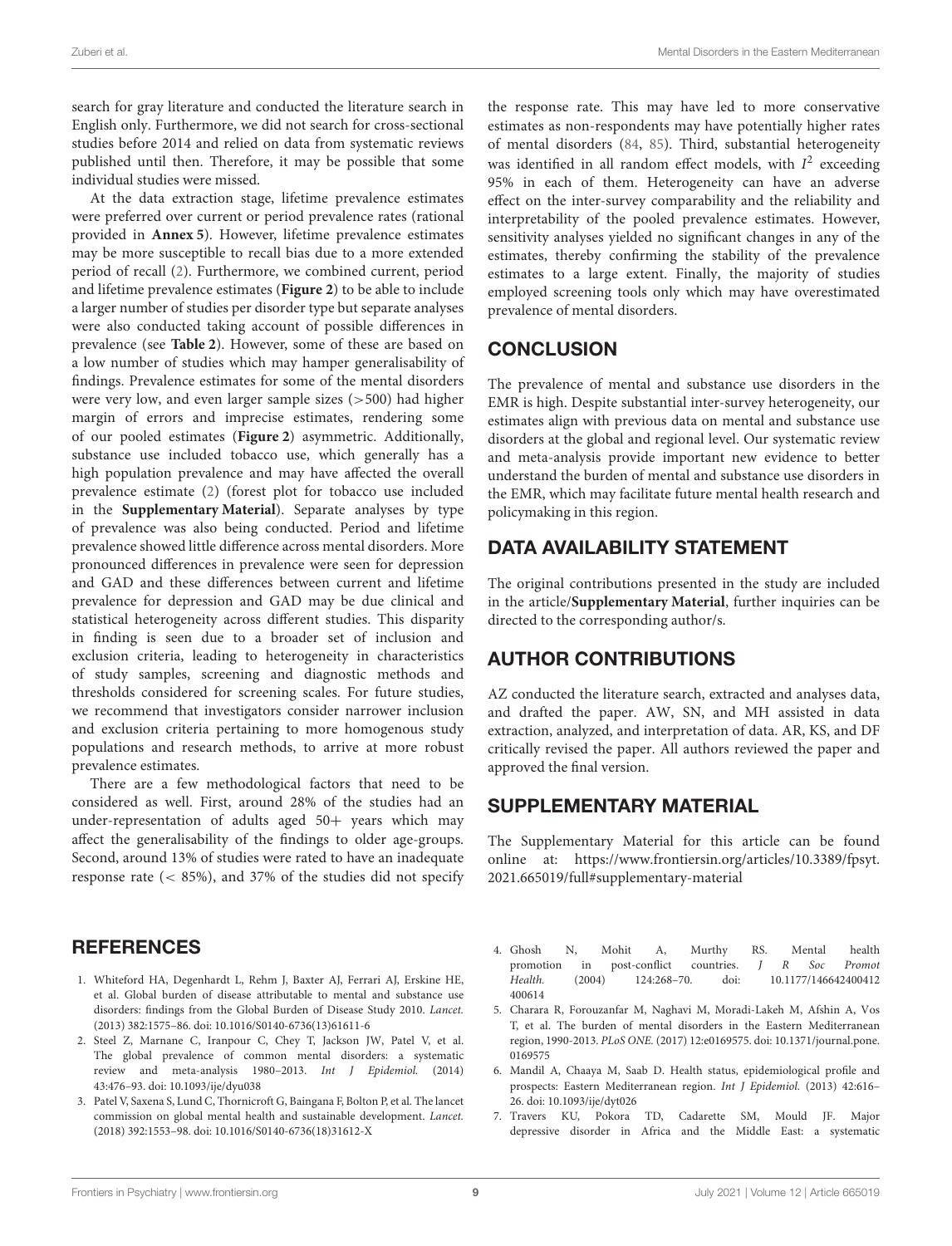search for gray literature and conducted the literature search in English only. Furthermore, we did not search for cross-sectional studies before 2014 and relied on data from systematic reviews published until then. Therefore, it may be possible that some individual studies were missed.

At the data extraction stage, lifetime prevalence estimates were preferred over current or period prevalence rates (rational provided in **[Annex 5](#page-8-5)**). However, lifetime prevalence estimates may be more susceptible to recall bias due to a more extended period of recall [\(2\)](#page-8-1). Furthermore, we combined current, period and lifetime prevalence estimates (**[Figure 2](#page-4-0)**) to be able to include a larger number of studies per disorder type but separate analyses were also conducted taking account of possible differences in prevalence (see **[Table 2](#page-5-0)**). However, some of these are based on a low number of studies which may hamper generalisability of findings. Prevalence estimates for some of the mental disorders were very low, and even larger sample sizes (>500) had higher margin of errors and imprecise estimates, rendering some of our pooled estimates (**[Figure 2](#page-4-0)**) asymmetric. Additionally, substance use included tobacco use, which generally has a high population prevalence and may have affected the overall prevalence estimate [\(2\)](#page-8-1) (forest plot for tobacco use included in the **[Supplementary Material](#page-8-5)**). Separate analyses by type of prevalence was also being conducted. Period and lifetime prevalence showed little difference across mental disorders. More pronounced differences in prevalence were seen for depression and GAD and these differences between current and lifetime prevalence for depression and GAD may be due clinical and statistical heterogeneity across different studies. This disparity in finding is seen due to a broader set of inclusion and exclusion criteria, leading to heterogeneity in characteristics of study samples, screening and diagnostic methods and thresholds considered for screening scales. For future studies, we recommend that investigators consider narrower inclusion and exclusion criteria pertaining to more homogenous study populations and research methods, to arrive at more robust prevalence estimates.

There are a few methodological factors that need to be considered as well. First, around 28% of the studies had an under-representation of adults aged 50+ years which may affect the generalisability of the findings to older age-groups. Second, around 13% of studies were rated to have an inadequate response rate (< 85%), and 37% of the studies did not specify

#### **REFERENCES**

- <span id="page-8-0"></span>1. Whiteford HA, Degenhardt L, Rehm J, Baxter AJ, Ferrari AJ, Erskine HE, et al. Global burden of disease attributable to mental and substance use disorders: findings from the Global Burden of Disease Study 2010. Lancet. (2013) 382:1575–86. doi: [10.1016/S0140-6736\(13\)61611-6](https://doi.org/10.1016/S0140-6736(13)61611-6)
- <span id="page-8-1"></span>2. Steel Z, Marnane C, Iranpour C, Chey T, Jackson JW, Patel V, et al. The global prevalence of common mental disorders: a systematic review and meta-analysis 1980–2013. Int J Epidemiol. (2014) 43:476–93. doi: [10.1093/ije/dyu038](https://doi.org/10.1093/ije/dyu038)
- <span id="page-8-2"></span>3. Patel V, Saxena S, Lund C, Thornicroft G, Baingana F, Bolton P, et al. The lancet commission on global mental health and sustainable development. Lancet. (2018) 392:1553–98. doi: [10.1016/S0140-6736\(18\)31612-X](https://doi.org/10.1016/S0140-6736(18)31612-X)

the response rate. This may have led to more conservative estimates as non-respondents may have potentially higher rates of mental disorders [\(84,](#page-11-0) [85\)](#page-11-1). Third, substantial heterogeneity was identified in all random effect models, with  $I^2$  exceeding 95% in each of them. Heterogeneity can have an adverse effect on the inter-survey comparability and the reliability and interpretability of the pooled prevalence estimates. However, sensitivity analyses yielded no significant changes in any of the estimates, thereby confirming the stability of the prevalence estimates to a large extent. Finally, the majority of studies employed screening tools only which may have overestimated prevalence of mental disorders.

# **CONCLUSION**

The prevalence of mental and substance use disorders in the EMR is high. Despite substantial inter-survey heterogeneity, our estimates align with previous data on mental and substance use disorders at the global and regional level. Our systematic review and meta-analysis provide important new evidence to better understand the burden of mental and substance use disorders in the EMR, which may facilitate future mental health research and policymaking in this region.

# DATA AVAILABILITY STATEMENT

The original contributions presented in the study are included in the article/**[Supplementary Material](#page-8-5)**, further inquiries can be directed to the corresponding author/s.

# AUTHOR CONTRIBUTIONS

AZ conducted the literature search, extracted and analyses data, and drafted the paper. AW, SN, and MH assisted in data extraction, analyzed, and interpretation of data. AR, KS, and DF critically revised the paper. All authors reviewed the paper and approved the final version.

#### SUPPLEMENTARY MATERIAL

<span id="page-8-5"></span>The Supplementary Material for this article can be found [online at: https://www.frontiersin.org/articles/10.3389/fpsyt.](https://www.frontiersin.org/articles/10.3389/fpsyt.2021.665019/full#supplementary-material) 2021.665019/full#supplementary-material

- <span id="page-8-3"></span>4. Ghosh N, Mohit A, Murthy RS. Mental health promotion in post-conflict countries. J R Soc Promot Health. [\(2004\) 124:268–70. doi: 10.1177/146642400412](https://doi.org/10.1177/146642400412400614) 400614
- <span id="page-8-4"></span>5. Charara R, Forouzanfar M, Naghavi M, Moradi-Lakeh M, Afshin A, Vos T, et al. The burden of mental disorders in the Eastern Mediterranean region, 1990-2013. PLoS ONE. [\(2017\) 12:e0169575. doi: 10.1371/journal.pone.](https://doi.org/10.1371/journal.pone.0169575) 0169575
- <span id="page-8-6"></span>6. Mandil A, Chaaya M, Saab D. Health status, epidemiological profile and prospects: Eastern Mediterranean region. Int J Epidemiol. (2013) 42:616– 26. doi: [10.1093/ije/dyt026](https://doi.org/10.1093/ije/dyt026)
- <span id="page-8-7"></span>7. Travers KU, Pokora TD, Cadarette SM, Mould JF. Major depressive disorder in Africa and the Middle East: a systematic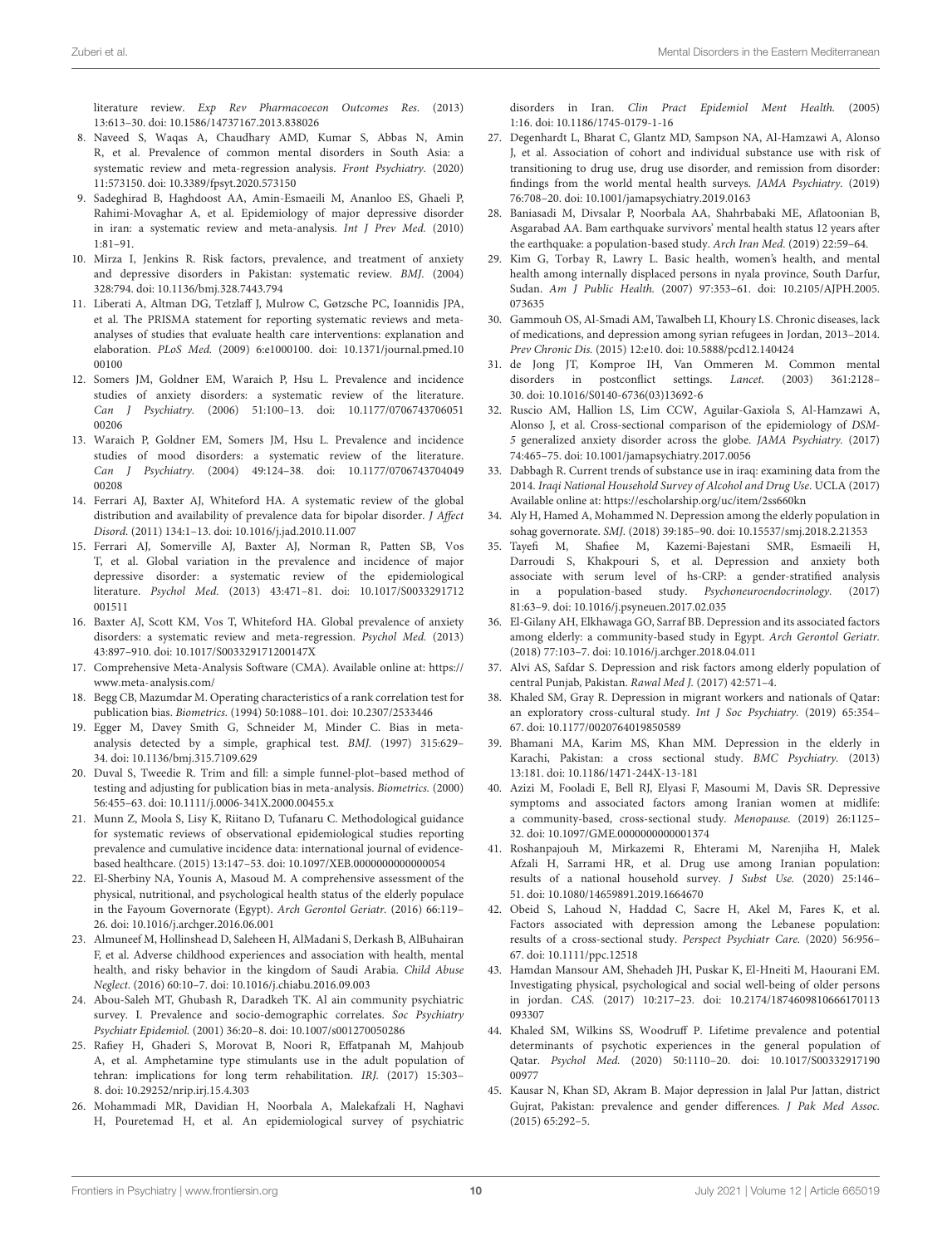literature review. Exp Rev Pharmacoecon Outcomes Res. (2013) 13:613–30. doi: [10.1586/14737167.2013.838026](https://doi.org/10.1586/14737167.2013.838026)

- <span id="page-9-0"></span>8. Naveed S, Waqas A, Chaudhary AMD, Kumar S, Abbas N, Amin R, et al. Prevalence of common mental disorders in South Asia: a systematic review and meta-regression analysis. Front Psychiatry. (2020) 11:573150. doi: [10.3389/fpsyt.2020.573150](https://doi.org/10.3389/fpsyt.2020.573150)
- <span id="page-9-1"></span>9. Sadeghirad B, Haghdoost AA, Amin-Esmaeili M, Ananloo ES, Ghaeli P, Rahimi-Movaghar A, et al. Epidemiology of major depressive disorder in iran: a systematic review and meta-analysis. Int J Prev Med. (2010) 1:81–91.
- <span id="page-9-2"></span>10. Mirza I, Jenkins R. Risk factors, prevalence, and treatment of anxiety and depressive disorders in Pakistan: systematic review. BMJ. (2004) 328:794. doi: [10.1136/bmj.328.7443.794](https://doi.org/10.1136/bmj.328.7443.794)
- <span id="page-9-3"></span>11. Liberati A, Altman DG, Tetzlaff J, Mulrow C, Gøtzsche PC, Ioannidis JPA, et al. The PRISMA statement for reporting systematic reviews and metaanalyses of studies that evaluate health care interventions: explanation and elaboration. PLoS Med. [\(2009\) 6:e1000100. doi: 10.1371/journal.pmed.10](https://doi.org/10.1371/journal.pmed.1000100) 00100
- <span id="page-9-4"></span>12. Somers JM, Goldner EM, Waraich P, Hsu L. Prevalence and incidence studies of anxiety disorders: a systematic review of the literature. Can J Psychiatry. [\(2006\) 51:100–13. doi: 10.1177/0706743706051](https://doi.org/10.1177/070674370605100206) 00206
- <span id="page-9-5"></span>13. Waraich P, Goldner EM, Somers JM, Hsu L. Prevalence and incidence studies of mood disorders: a systematic review of the literature. Can J Psychiatry. [\(2004\) 49:124–38. doi: 10.1177/0706743704049](https://doi.org/10.1177/070674370404900208) 00208
- <span id="page-9-6"></span>14. Ferrari AJ, Baxter AJ, Whiteford HA. A systematic review of the global distribution and availability of prevalence data for bipolar disorder. J Affect Disord. (2011) 134:1–13. doi: [10.1016/j.jad.2010.11.007](https://doi.org/10.1016/j.jad.2010.11.007)
- <span id="page-9-14"></span>15. Ferrari AJ, Somerville AJ, Baxter AJ, Norman R, Patten SB, Vos T, et al. Global variation in the prevalence and incidence of major depressive disorder: a systematic review of the epidemiological literature. Psychol Med. [\(2013\) 43:471–81. doi: 10.1017/S0033291712](https://doi.org/10.1017/S0033291712001511) 001511
- <span id="page-9-7"></span>16. Baxter AJ, Scott KM, Vos T, Whiteford HA. Global prevalence of anxiety disorders: a systematic review and meta-regression. Psychol Med. (2013) 43:897–910. doi: [10.1017/S003329171200147X](https://doi.org/10.1017/S003329171200147X)
- <span id="page-9-8"></span>17. Comprehensive Meta-Analysis Software (CMA). Available online at: [https://](https://www.meta-analysis.com/) [www.meta-analysis.com/](https://www.meta-analysis.com/)
- <span id="page-9-9"></span>18. Begg CB, Mazumdar M. Operating characteristics of a rank correlation test for publication bias. Biometrics. (1994) 50:1088–101. doi: [10.2307/2533446](https://doi.org/10.2307/2533446)
- <span id="page-9-10"></span>19. Egger M, Davey Smith G, Schneider M, Minder C. Bias in metaanalysis detected by a simple, graphical test. BMJ. (1997) 315:629– 34. doi: [10.1136/bmj.315.7109.629](https://doi.org/10.1136/bmj.315.7109.629)
- <span id="page-9-11"></span>20. Duval S, Tweedie R. Trim and fill: a simple funnel-plot–based method of testing and adjusting for publication bias in meta-analysis. Biometrics. (2000) 56:455–63. doi: [10.1111/j.0006-341X.2000.00455.x](https://doi.org/10.1111/j.0006-341X.2000.00455.x)
- <span id="page-9-12"></span>21. Munn Z, Moola S, Lisy K, Riitano D, Tufanaru C. Methodological guidance for systematic reviews of observational epidemiological studies reporting prevalence and cumulative incidence data: international journal of evidencebased healthcare. (2015) 13:147–53. doi: [10.1097/XEB.0000000000000054](https://doi.org/10.1097/XEB.0000000000000054)
- <span id="page-9-13"></span>22. El-Sherbiny NA, Younis A, Masoud M. A comprehensive assessment of the physical, nutritional, and psychological health status of the elderly populace in the Fayoum Governorate (Egypt). Arch Gerontol Geriatr. (2016) 66:119– 26. doi: [10.1016/j.archger.2016.06.001](https://doi.org/10.1016/j.archger.2016.06.001)
- 23. Almuneef M, Hollinshead D, Saleheen H, AlMadani S, Derkash B, AlBuhairan F, et al. Adverse childhood experiences and association with health, mental health, and risky behavior in the kingdom of Saudi Arabia. Child Abuse Neglect. (2016) 60:10–7. doi: [10.1016/j.chiabu.2016.09.003](https://doi.org/10.1016/j.chiabu.2016.09.003)
- 24. Abou-Saleh MT, Ghubash R, Daradkeh TK. Al ain community psychiatric survey. I. Prevalence and socio-demographic correlates. Soc Psychiatry Psychiatr Epidemiol. (2001) 36:20–8. doi: [10.1007/s001270050286](https://doi.org/10.1007/s001270050286)
- 25. Rafiey H, Ghaderi S, Morovat B, Noori R, Effatpanah M, Mahjoub A, et al. Amphetamine type stimulants use in the adult population of tehran: implications for long term rehabilitation. IRJ. (2017) 15:303– 8. doi: [10.29252/nrip.irj.15.4.303](https://doi.org/10.29252/nrip.irj.15.4.303)
- 26. Mohammadi MR, Davidian H, Noorbala A, Malekafzali H, Naghavi H, Pouretemad H, et al. An epidemiological survey of psychiatric

disorders in Iran. Clin Pract Epidemiol Ment Health. (2005) 1:16. doi: [10.1186/1745-0179-1-16](https://doi.org/10.1186/1745-0179-1-16)

- 27. Degenhardt L, Bharat C, Glantz MD, Sampson NA, Al-Hamzawi A, Alonso J, et al. Association of cohort and individual substance use with risk of transitioning to drug use, drug use disorder, and remission from disorder: findings from the world mental health surveys. JAMA Psychiatry. (2019) 76:708–20. doi: [10.1001/jamapsychiatry.2019.0163](https://doi.org/10.1001/jamapsychiatry.2019.0163)
- 28. Baniasadi M, Divsalar P, Noorbala AA, Shahrbabaki ME, Aflatoonian B, Asgarabad AA. Bam earthquake survivors' mental health status 12 years after the earthquake: a population-based study. Arch Iran Med. (2019) 22:59–64.
- 29. Kim G, Torbay R, Lawry L. Basic health, women's health, and mental health among internally displaced persons in nyala province, South Darfur, Sudan. Am J Public Health. [\(2007\) 97:353–61. doi: 10.2105/AJPH.2005.](https://doi.org/10.2105/AJPH.2005.073635) 073635
- 30. Gammouh OS, Al-Smadi AM, Tawalbeh LI, Khoury LS. Chronic diseases, lack of medications, and depression among syrian refugees in Jordan, 2013–2014. Prev Chronic Dis. (2015) 12:e10. doi: [10.5888/pcd12.140424](https://doi.org/10.5888/pcd12.140424)
- 31. de Jong JT, Komproe IH, Van Ommeren M. Common mental disorders in postconflict settings. Lancet. (2003) 361:2128– 30. doi: [10.1016/S0140-6736\(03\)13692-6](https://doi.org/10.1016/S0140-6736(03)13692-6)
- 32. Ruscio AM, Hallion LS, Lim CCW, Aguilar-Gaxiola S, Al-Hamzawi A, Alonso J, et al. Cross-sectional comparison of the epidemiology of DSM-5 generalized anxiety disorder across the globe. JAMA Psychiatry. (2017) 74:465–75. doi: [10.1001/jamapsychiatry.2017.0056](https://doi.org/10.1001/jamapsychiatry.2017.0056)
- 33. Dabbagh R. Current trends of substance use in iraq: examining data from the 2014. Iraqi National Household Survey of Alcohol and Drug Use. UCLA (2017) Available online at:<https://escholarship.org/uc/item/2ss660kn>
- 34. Aly H, Hamed A, Mohammed N. Depression among the elderly population in sohag governorate. SMJ. (2018) 39:185–90. doi: [10.15537/smj.2018.2.21353](https://doi.org/10.15537/smj.2018.2.21353)
- 35. Tayefi M, Shafiee M, Kazemi-Bajestani SMR, Esmaeili H, Darroudi S, Khakpouri S, et al. Depression and anxiety both associate with serum level of hs-CRP: a gender-stratified analysis in a population-based study. Psychoneuroendocrinology. (2017) 81:63–9. doi: [10.1016/j.psyneuen.2017.02.035](https://doi.org/10.1016/j.psyneuen.2017.02.035)
- 36. El-Gilany AH, Elkhawaga GO, Sarraf BB. Depression and its associated factors among elderly: a community-based study in Egypt. Arch Gerontol Geriatr. (2018) 77:103–7. doi: [10.1016/j.archger.2018.04.011](https://doi.org/10.1016/j.archger.2018.04.011)
- 37. Alvi AS, Safdar S. Depression and risk factors among elderly population of central Punjab, Pakistan. Rawal Med J. (2017) 42:571–4.
- 38. Khaled SM, Gray R. Depression in migrant workers and nationals of Qatar: an exploratory cross-cultural study. Int J Soc Psychiatry. (2019) 65:354– 67. doi: [10.1177/0020764019850589](https://doi.org/10.1177/0020764019850589)
- 39. Bhamani MA, Karim MS, Khan MM. Depression in the elderly in Karachi, Pakistan: a cross sectional study. BMC Psychiatry. (2013) 13:181. doi: [10.1186/1471-244X-13-181](https://doi.org/10.1186/1471-244X-13-181)
- 40. Azizi M, Fooladi E, Bell RJ, Elyasi F, Masoumi M, Davis SR. Depressive symptoms and associated factors among Iranian women at midlife: a community-based, cross-sectional study. Menopause. (2019) 26:1125– 32. doi: [10.1097/GME.0000000000001374](https://doi.org/10.1097/GME.0000000000001374)
- 41. Roshanpajouh M, Mirkazemi R, Ehterami M, Narenjiha H, Malek Afzali H, Sarrami HR, et al. Drug use among Iranian population: results of a national household survey. J Subst Use. (2020) 25:146– 51. doi: [10.1080/14659891.2019.1664670](https://doi.org/10.1080/14659891.2019.1664670)
- 42. Obeid S, Lahoud N, Haddad C, Sacre H, Akel M, Fares K, et al. Factors associated with depression among the Lebanese population: results of a cross-sectional study. Perspect Psychiatr Care. (2020) 56:956– 67. doi: [10.1111/ppc.12518](https://doi.org/10.1111/ppc.12518)
- 43. Hamdan Mansour AM, Shehadeh JH, Puskar K, El-Hneiti M, Haourani EM. Investigating physical, psychological and social well-being of older persons in jordan. CAS. [\(2017\) 10:217–23. doi: 10.2174/1874609810666170113](https://doi.org/10.2174/1874609810666170113093307) 093307
- 44. Khaled SM, Wilkins SS, Woodruff P. Lifetime prevalence and potential determinants of psychotic experiences in the general population of Qatar. Psychol Med. [\(2020\) 50:1110–20. doi: 10.1017/S00332917190](https://doi.org/10.1017/S0033291719000977) 00977
- 45. Kausar N, Khan SD, Akram B. Major depression in Jalal Pur Jattan, district Gujrat, Pakistan: prevalence and gender differences. J Pak Med Assoc. (2015) 65:292–5.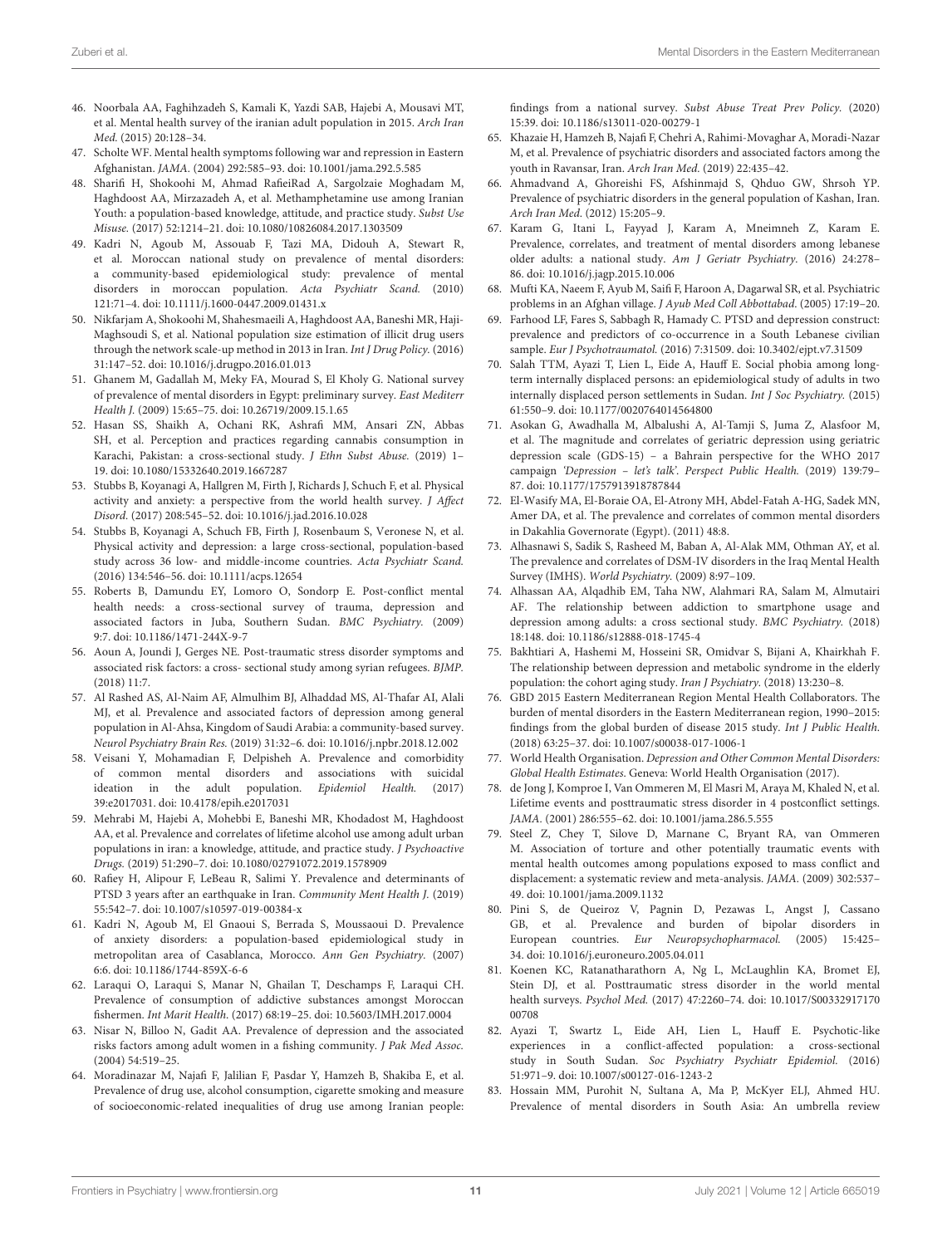- 46. Noorbala AA, Faghihzadeh S, Kamali K, Yazdi SAB, Hajebi A, Mousavi MT, et al. Mental health survey of the iranian adult population in 2015. Arch Iran Med. (2015) 20:128–34.
- 47. Scholte WF. Mental health symptoms following war and repression in Eastern Afghanistan. JAMA. (2004) 292:585–93. doi: [10.1001/jama.292.5.585](https://doi.org/10.1001/jama.292.5.585)
- 48. Sharifi H, Shokoohi M, Ahmad RafieiRad A, Sargolzaie Moghadam M, Haghdoost AA, Mirzazadeh A, et al. Methamphetamine use among Iranian Youth: a population-based knowledge, attitude, and practice study. Subst Use Misuse. (2017) 52:1214–21. doi: [10.1080/10826084.2017.1303509](https://doi.org/10.1080/10826084.2017.1303509)
- 49. Kadri N, Agoub M, Assouab F, Tazi MA, Didouh A, Stewart R, et al. Moroccan national study on prevalence of mental disorders: a community-based epidemiological study: prevalence of mental disorders in moroccan population. Acta Psychiatr Scand. (2010) 121:71–4. doi: [10.1111/j.1600-0447.2009.01431.x](https://doi.org/10.1111/j.1600-0447.2009.01431.x)
- 50. Nikfarjam A, Shokoohi M, Shahesmaeili A, Haghdoost AA, Baneshi MR, Haji-Maghsoudi S, et al. National population size estimation of illicit drug users through the network scale-up method in 2013 in Iran. Int J Drug Policy. (2016) 31:147–52. doi: [10.1016/j.drugpo.2016.01.013](https://doi.org/10.1016/j.drugpo.2016.01.013)
- 51. Ghanem M, Gadallah M, Meky FA, Mourad S, El Kholy G. National survey of prevalence of mental disorders in Egypt: preliminary survey. East Mediterr Health J. (2009) 15:65–75. doi: [10.26719/2009.15.1.65](https://doi.org/10.26719/2009.15.1.65)
- 52. Hasan SS, Shaikh A, Ochani RK, Ashrafi MM, Ansari ZN, Abbas SH, et al. Perception and practices regarding cannabis consumption in Karachi, Pakistan: a cross-sectional study. J Ethn Subst Abuse. (2019) 1-19. doi: [10.1080/15332640.2019.1667287](https://doi.org/10.1080/15332640.2019.1667287)
- 53. Stubbs B, Koyanagi A, Hallgren M, Firth J, Richards J, Schuch F, et al. Physical activity and anxiety: a perspective from the world health survey. J Affect Disord. (2017) 208:545–52. doi: [10.1016/j.jad.2016.10.028](https://doi.org/10.1016/j.jad.2016.10.028)
- 54. Stubbs B, Koyanagi A, Schuch FB, Firth J, Rosenbaum S, Veronese N, et al. Physical activity and depression: a large cross-sectional, population-based study across 36 low- and middle-income countries. Acta Psychiatr Scand. (2016) 134:546–56. doi: [10.1111/acps.12654](https://doi.org/10.1111/acps.12654)
- 55. Roberts B, Damundu EY, Lomoro O, Sondorp E. Post-conflict mental health needs: a cross-sectional survey of trauma, depression and associated factors in Juba, Southern Sudan. BMC Psychiatry. (2009) 9:7. doi: [10.1186/1471-244X-9-7](https://doi.org/10.1186/1471-244X-9-7)
- <span id="page-10-1"></span>56. Aoun A, Joundi J, Gerges NE. Post-traumatic stress disorder symptoms and associated risk factors: a cross- sectional study among syrian refugees. BJMP.  $(2018)$  11.7
- 57. Al Rashed AS, Al-Naim AF, Almulhim BJ, Alhaddad MS, Al-Thafar AI, Alali MJ, et al. Prevalence and associated factors of depression among general population in Al-Ahsa, Kingdom of Saudi Arabia: a community-based survey. Neurol Psychiatry Brain Res. (2019) 31:32–6. doi: [10.1016/j.npbr.2018.12.002](https://doi.org/10.1016/j.npbr.2018.12.002)
- 58. Veisani Y, Mohamadian F, Delpisheh A. Prevalence and comorbidity of common mental disorders and associations with suicidal ideation in the adult population. Epidemiol Health. (2017) 39:e2017031. doi: [10.4178/epih.e2017031](https://doi.org/10.4178/epih.e2017031)
- 59. Mehrabi M, Hajebi A, Mohebbi E, Baneshi MR, Khodadost M, Haghdoost AA, et al. Prevalence and correlates of lifetime alcohol use among adult urban populations in iran: a knowledge, attitude, and practice study. J Psychoactive Drugs. (2019) 51:290–7. doi: [10.1080/02791072.2019.1578909](https://doi.org/10.1080/02791072.2019.1578909)
- 60. Rafiey H, Alipour F, LeBeau R, Salimi Y. Prevalence and determinants of PTSD 3 years after an earthquake in Iran. Community Ment Health J. (2019) 55:542–7. doi: [10.1007/s10597-019-00384-x](https://doi.org/10.1007/s10597-019-00384-x)
- 61. Kadri N, Agoub M, El Gnaoui S, Berrada S, Moussaoui D. Prevalence of anxiety disorders: a population-based epidemiological study in metropolitan area of Casablanca, Morocco. Ann Gen Psychiatry. (2007) 6:6. doi: [10.1186/1744-859X-6-6](https://doi.org/10.1186/1744-859X-6-6)
- 62. Laraqui O, Laraqui S, Manar N, Ghailan T, Deschamps F, Laraqui CH. Prevalence of consumption of addictive substances amongst Moroccan fishermen. Int Marit Health. (2017) 68:19–25. doi: [10.5603/IMH.2017.0004](https://doi.org/10.5603/IMH.2017.0004)
- 63. Nisar N, Billoo N, Gadit AA. Prevalence of depression and the associated risks factors among adult women in a fishing community. J Pak Med Assoc. (2004) 54:519–25.
- <span id="page-10-2"></span>64. Moradinazar M, Najafi F, Jalilian F, Pasdar Y, Hamzeh B, Shakiba E, et al. Prevalence of drug use, alcohol consumption, cigarette smoking and measure of socioeconomic-related inequalities of drug use among Iranian people:

findings from a national survey. Subst Abuse Treat Prev Policy. (2020) 15:39. doi: [10.1186/s13011-020-00279-1](https://doi.org/10.1186/s13011-020-00279-1)

- 65. Khazaie H, Hamzeh B, Najafi F, Chehri A, Rahimi-Movaghar A, Moradi-Nazar M, et al. Prevalence of psychiatric disorders and associated factors among the youth in Ravansar, Iran. Arch Iran Med. (2019) 22:435–42.
- 66. Ahmadvand A, Ghoreishi FS, Afshinmajd S, Qhduo GW, Shrsoh YP. Prevalence of psychiatric disorders in the general population of Kashan, Iran. Arch Iran Med. (2012) 15:205–9.
- 67. Karam G, Itani L, Fayyad J, Karam A, Mneimneh Z, Karam E. Prevalence, correlates, and treatment of mental disorders among lebanese older adults: a national study. Am J Geriatr Psychiatry. (2016) 24:278– 86. doi: [10.1016/j.jagp.2015.10.006](https://doi.org/10.1016/j.jagp.2015.10.006)
- 68. Mufti KA, Naeem F, Ayub M, Saifi F, Haroon A, Dagarwal SR, et al. Psychiatric problems in an Afghan village. J Ayub Med Coll Abbottabad. (2005) 17:19–20.
- 69. Farhood LF, Fares S, Sabbagh R, Hamady C. PTSD and depression construct: prevalence and predictors of co-occurrence in a South Lebanese civilian sample. Eur J Psychotraumatol. (2016) 7:31509. doi: [10.3402/ejpt.v7.31509](https://doi.org/10.3402/ejpt.v7.31509)
- 70. Salah TTM, Ayazi T, Lien L, Eide A, Hauff E. Social phobia among longterm internally displaced persons: an epidemiological study of adults in two internally displaced person settlements in Sudan. Int J Soc Psychiatry. (2015) 61:550–9. doi: [10.1177/0020764014564800](https://doi.org/10.1177/0020764014564800)
- 71. Asokan G, Awadhalla M, Albalushi A, Al-Tamji S, Juma Z, Alasfoor M, et al. The magnitude and correlates of geriatric depression using geriatric depression scale (GDS-15) – a Bahrain perspective for the WHO 2017 campaign 'Depression – let's talk'. Perspect Public Health. (2019) 139:79– 87. doi: [10.1177/1757913918787844](https://doi.org/10.1177/1757913918787844)
- 72. El-Wasify MA, El-Boraie OA, El-Atrony MH, Abdel-Fatah A-HG, Sadek MN, Amer DA, et al. The prevalence and correlates of common mental disorders in Dakahlia Governorate (Egypt). (2011) 48:8.
- 73. Alhasnawi S, Sadik S, Rasheed M, Baban A, Al-Alak MM, Othman AY, et al. The prevalence and correlates of DSM-IV disorders in the Iraq Mental Health Survey (IMHS). World Psychiatry. (2009) 8:97–109.
- 74. Alhassan AA, Alqadhib EM, Taha NW, Alahmari RA, Salam M, Almutairi AF. The relationship between addiction to smartphone usage and depression among adults: a cross sectional study. BMC Psychiatry. (2018) 18:148. doi: [10.1186/s12888-018-1745-4](https://doi.org/10.1186/s12888-018-1745-4)
- <span id="page-10-0"></span>75. Bakhtiari A, Hashemi M, Hosseini SR, Omidvar S, Bijani A, Khairkhah F. The relationship between depression and metabolic syndrome in the elderly population: the cohort aging study. Iran J Psychiatry. (2018) 13:230–8.
- <span id="page-10-3"></span>76. GBD 2015 Eastern Mediterranean Region Mental Health Collaborators. The burden of mental disorders in the Eastern Mediterranean region, 1990–2015: findings from the global burden of disease 2015 study. Int J Public Health. (2018) 63:25–37. doi: [10.1007/s00038-017-1006-1](https://doi.org/10.1007/s00038-017-1006-1)
- <span id="page-10-4"></span>77. World Health Organisation. Depression and Other Common Mental Disorders: Global Health Estimates. Geneva: World Health Organisation (2017).
- <span id="page-10-5"></span>78. de Jong J, Komproe I, Van Ommeren M, El Masri M, Araya M, Khaled N, et al. Lifetime events and posttraumatic stress disorder in 4 postconflict settings. JAMA. (2001) 286:555–62. doi: [10.1001/jama.286.5.555](https://doi.org/10.1001/jama.286.5.555)
- <span id="page-10-6"></span>79. Steel Z, Chey T, Silove D, Marnane C, Bryant RA, van Ommeren M. Association of torture and other potentially traumatic events with mental health outcomes among populations exposed to mass conflict and displacement: a systematic review and meta-analysis. JAMA. (2009) 302:537– 49. doi: [10.1001/jama.2009.1132](https://doi.org/10.1001/jama.2009.1132)
- <span id="page-10-7"></span>80. Pini S, de Queiroz V, Pagnin D, Pezawas L, Angst J, Cassano GB, et al. Prevalence and burden of bipolar disorders in European countries. Eur Neuropsychopharmacol. (2005) 15:425– 34. doi: [10.1016/j.euroneuro.2005.04.011](https://doi.org/10.1016/j.euroneuro.2005.04.011)
- <span id="page-10-8"></span>81. Koenen KC, Ratanatharathorn A, Ng L, McLaughlin KA, Bromet EJ, Stein DJ, et al. Posttraumatic stress disorder in the world mental health surveys. Psychol Med. [\(2017\) 47:2260–74. doi: 10.1017/S00332917170](https://doi.org/10.1017/S0033291717000708) 00708
- <span id="page-10-9"></span>82. Ayazi T, Swartz L, Eide AH, Lien L, Hauff E. Psychotic-like experiences in a conflict-affected population: a cross-sectional study in South Sudan. Soc Psychiatry Psychiatr Epidemiol. (2016) 51:971–9. doi: [10.1007/s00127-016-1243-2](https://doi.org/10.1007/s00127-016-1243-2)
- <span id="page-10-10"></span>83. Hossain MM, Purohit N, Sultana A, Ma P, McKyer ELJ, Ahmed HU. Prevalence of mental disorders in South Asia: An umbrella review